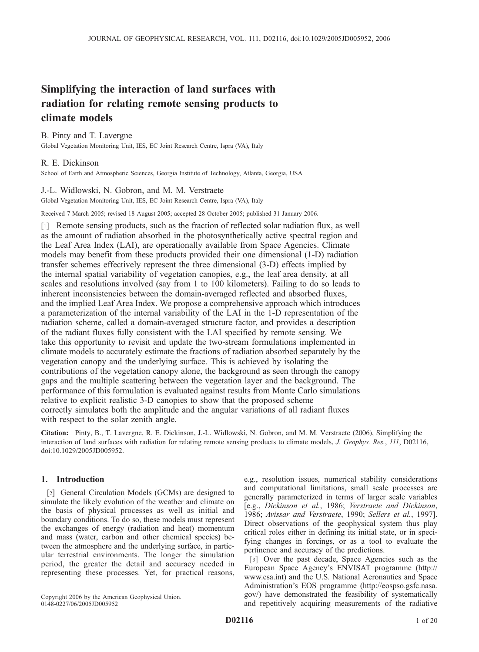# Simplifying the interaction of land surfaces with radiation for relating remote sensing products to climate models

B. Pinty and T. Lavergne Global Vegetation Monitoring Unit, IES, EC Joint Research Centre, Ispra (VA), Italy

R. E. Dickinson School of Earth and Atmospheric Sciences, Georgia Institute of Technology, Atlanta, Georgia, USA

### J.-L. Widlowski, N. Gobron, and M. M. Verstraete

Global Vegetation Monitoring Unit, IES, EC Joint Research Centre, Ispra (VA), Italy

Received 7 March 2005; revised 18 August 2005; accepted 28 October 2005; published 31 January 2006.

[1] Remote sensing products, such as the fraction of reflected solar radiation flux, as well as the amount of radiation absorbed in the photosynthetically active spectral region and the Leaf Area Index (LAI), are operationally available from Space Agencies. Climate models may benefit from these products provided their one dimensional (1-D) radiation transfer schemes effectively represent the three dimensional (3-D) effects implied by the internal spatial variability of vegetation canopies, e.g., the leaf area density, at all scales and resolutions involved (say from 1 to 100 kilometers). Failing to do so leads to inherent inconsistencies between the domain-averaged reflected and absorbed fluxes, and the implied Leaf Area Index. We propose a comprehensive approach which introduces a parameterization of the internal variability of the LAI in the 1-D representation of the radiation scheme, called a domain-averaged structure factor, and provides a description of the radiant fluxes fully consistent with the LAI specified by remote sensing. We take this opportunity to revisit and update the two-stream formulations implemented in climate models to accurately estimate the fractions of radiation absorbed separately by the vegetation canopy and the underlying surface. This is achieved by isolating the contributions of the vegetation canopy alone, the background as seen through the canopy gaps and the multiple scattering between the vegetation layer and the background. The performance of this formulation is evaluated against results from Monte Carlo simulations relative to explicit realistic 3-D canopies to show that the proposed scheme correctly simulates both the amplitude and the angular variations of all radiant fluxes with respect to the solar zenith angle.

Citation: Pinty, B., T. Lavergne, R. E. Dickinson, J.-L. Widlowski, N. Gobron, and M. M. Verstraete (2006), Simplifying the interaction of land surfaces with radiation for relating remote sensing products to climate models, J. Geophys. Res., 111, D02116, doi:10.1029/2005JD005952.

### 1. Introduction

[2] General Circulation Models (GCMs) are designed to simulate the likely evolution of the weather and climate on the basis of physical processes as well as initial and boundary conditions. To do so, these models must represent the exchanges of energy (radiation and heat) momentum and mass (water, carbon and other chemical species) between the atmosphere and the underlying surface, in particular terrestrial environments. The longer the simulation period, the greater the detail and accuracy needed in representing these processes. Yet, for practical reasons,

Copyright 2006 by the American Geophysical Union. 0148-0227/06/2005JD005952

e.g., resolution issues, numerical stability considerations and computational limitations, small scale processes are generally parameterized in terms of larger scale variables [e.g., Dickinson et al., 1986; Verstraete and Dickinson, 1986; Avissar and Verstraete, 1990; Sellers et al., 1997]. Direct observations of the geophysical system thus play critical roles either in defining its initial state, or in specifying changes in forcings, or as a tool to evaluate the pertinence and accuracy of the predictions.

[3] Over the past decade, Space Agencies such as the European Space Agency's ENVISAT programme (http:// www.esa.int) and the U.S. National Aeronautics and Space Administration's EOS programme (http://eospso.gsfc.nasa. gov/) have demonstrated the feasibility of systematically and repetitively acquiring measurements of the radiative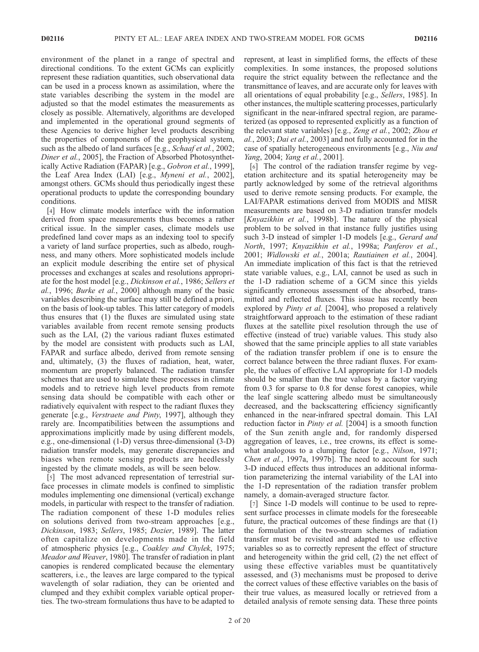environment of the planet in a range of spectral and directional conditions. To the extent GCMs can explicitly represent these radiation quantities, such observational data can be used in a process known as assimilation, where the state variables describing the system in the model are adjusted so that the model estimates the measurements as closely as possible. Alternatively, algorithms are developed and implemented in the operational ground segments of these Agencies to derive higher level products describing the properties of components of the geophysical system, such as the albedo of land surfaces [e.g., Schaaf et al., 2002; Diner et al., 2005], the Fraction of Absorbed Photosynthetically Active Radiation (FAPAR) [e.g., Gobron et al., 1999], the Leaf Area Index (LAI) [e.g., Myneni et al., 2002], amongst others. GCMs should thus periodically ingest these operational products to update the corresponding boundary conditions.

[4] How climate models interface with the information derived from space measurements thus becomes a rather critical issue. In the simpler cases, climate models use predefined land cover maps as an indexing tool to specify a variety of land surface properties, such as albedo, roughness, and many others. More sophisticated models include an explicit module describing the entire set of physical processes and exchanges at scales and resolutions appropriate for the host model [e.g., Dickinson et al., 1986; Sellers et al., 1996; Burke et al., 2000] although many of the basic variables describing the surface may still be defined a priori, on the basis of look-up tables. This latter category of models thus ensures that (1) the fluxes are simulated using state variables available from recent remote sensing products such as the LAI, (2) the various radiant fluxes estimated by the model are consistent with products such as LAI, FAPAR and surface albedo, derived from remote sensing and, ultimately, (3) the fluxes of radiation, heat, water, momentum are properly balanced. The radiation transfer schemes that are used to simulate these processes in climate models and to retrieve high level products from remote sensing data should be compatible with each other or radiatively equivalent with respect to the radiant fluxes they generate [e.g., Verstraete and Pinty, 1997], although they rarely are. Incompatibilities between the assumptions and approximations implicitly made by using different models, e.g., one-dimensional (1-D) versus three-dimensional (3-D) radiation transfer models, may generate discrepancies and biases when remote sensing products are heedlessly ingested by the climate models, as will be seen below.

[5] The most advanced representation of terrestrial surface processes in climate models is confined to simplistic modules implementing one dimensional (vertical) exchange models, in particular with respect to the transfer of radiation. The radiation component of these 1-D modules relies on solutions derived from two-stream approaches [e.g., Dickinson, 1983; Sellers, 1985; Dozier, 1989]. The latter often capitalize on developments made in the field of atmospheric physics [e.g., Coakley and Chylek, 1975; Meador and Weaver, 1980]. The transfer of radiation in plant canopies is rendered complicated because the elementary scatterers, i.e., the leaves are large compared to the typical wavelength of solar radiation, they can be oriented and clumped and they exhibit complex variable optical properties. The two-stream formulations thus have to be adapted to

represent, at least in simplified forms, the effects of these complexities. In some instances, the proposed solutions require the strict equality between the reflectance and the transmittance of leaves, and are accurate only for leaves with all orientations of equal probability [e.g., Sellers, 1985]. In other instances, the multiple scattering processes, particularly significant in the near-infrared spectral region, are parameterized (as opposed to represented explicitly as a function of the relevant state variables) [e.g., Zeng et al., 2002; Zhou et al., 2003; Dai et al., 2003] and not fully accounted for in the case of spatially heterogeneous environments [e.g., Niu and Yang, 2004; Yang et al., 2001].

[6] The control of the radiation transfer regime by vegetation architecture and its spatial heterogeneity may be partly acknowledged by some of the retrieval algorithms used to derive remote sensing products. For example, the LAI/FAPAR estimations derived from MODIS and MISR measurements are based on 3-D radiation transfer models [Knyazikhin et al., 1998b]. The nature of the physical problem to be solved in that instance fully justifies using such 3-D instead of simpler 1-D models [e.g., *Gerard and* North, 1997; Knyazikhin et al., 1998a; Panferov et al., 2001; Widlowski et al., 2001a; Rautiainen et al., 2004]. An immediate implication of this fact is that the retrieved state variable values, e.g., LAI, cannot be used as such in the 1-D radiation scheme of a GCM since this yields significantly erroneous assessment of the absorbed, transmitted and reflected fluxes. This issue has recently been explored by Pinty et al. [2004], who proposed a relatively straightforward approach to the estimation of these radiant fluxes at the satellite pixel resolution through the use of effective (instead of true) variable values. This study also showed that the same principle applies to all state variables of the radiation transfer problem if one is to ensure the correct balance between the three radiant fluxes. For example, the values of effective LAI appropriate for 1-D models should be smaller than the true values by a factor varying from 0.3 for sparse to 0.8 for dense forest canopies, while the leaf single scattering albedo must be simultaneously decreased, and the backscattering efficiency significantly enhanced in the near-infrared spectral domain. This LAI reduction factor in *Pinty et al.* [2004] is a smooth function of the Sun zenith angle and, for randomly dispersed aggregation of leaves, i.e., tree crowns, its effect is somewhat analogous to a clumping factor [e.g., Nilson, 1971; Chen et al., 1997a, 1997b]. The need to account for such 3-D induced effects thus introduces an additional information parameterizing the internal variability of the LAI into the 1-D representation of the radiation transfer problem namely, a domain-averaged structure factor.

[7] Since 1-D models will continue to be used to represent surface processes in climate models for the foreseeable future, the practical outcomes of these findings are that (1) the formulation of the two-stream schemes of radiation transfer must be revisited and adapted to use effective variables so as to correctly represent the effect of structure and heterogeneity within the grid cell, (2) the net effect of using these effective variables must be quantitatively assessed, and (3) mechanisms must be proposed to derive the correct values of these effective variables on the basis of their true values, as measured locally or retrieved from a detailed analysis of remote sensing data. These three points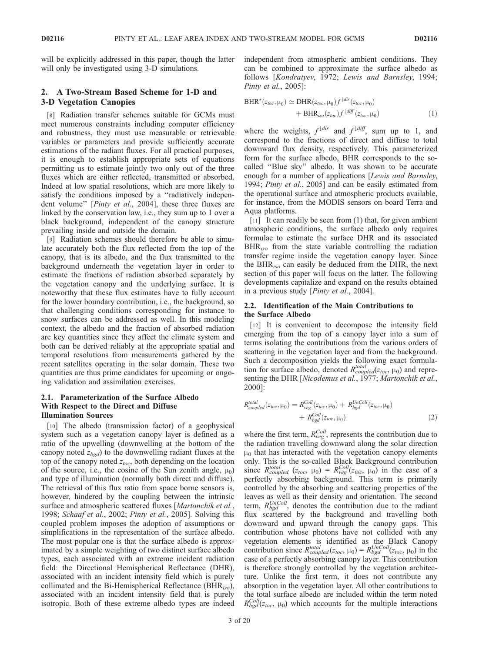will be explicitly addressed in this paper, though the latter will only be investigated using 3-D simulations.

# 2. A Two-Stream Based Scheme for 1-D and 3-D Vegetation Canopies

[8] Radiation transfer schemes suitable for GCMs must meet numerous constraints including computer efficiency and robustness, they must use measurable or retrievable variables or parameters and provide sufficiently accurate estimations of the radiant fluxes. For all practical purposes, it is enough to establish appropriate sets of equations permitting us to estimate jointly two only out of the three fluxes which are either reflected, transmitted or absorbed. Indeed at low spatial resolutions, which are more likely to satisfy the conditions imposed by a "radiatively independent volume" [Pinty et al., 2004], these three fluxes are linked by the conservation law, i.e., they sum up to 1 over a black background, independent of the canopy structure prevailing inside and outside the domain.

[9] Radiation schemes should therefore be able to simulate accurately both the flux reflected from the top of the canopy, that is its albedo, and the flux transmitted to the background underneath the vegetation layer in order to estimate the fractions of radiation absorbed separately by the vegetation canopy and the underlying surface. It is noteworthy that these flux estimates have to fully account for the lower boundary contribution, i.e., the background, so that challenging conditions corresponding for instance to snow surfaces can be addressed as well. In this modeling context, the albedo and the fraction of absorbed radiation are key quantities since they affect the climate system and both can be derived reliably at the appropriate spatial and temporal resolutions from measurements gathered by the recent satellites operating in the solar domain. These two quantities are thus prime candidates for upcoming or ongoing validation and assimilation exercises.

## 2.1. Parameterization of the Surface Albedo With Respect to the Direct and Diffuse Illumination Sources

[10] The albedo (transmission factor) of a geophysical system such as a vegetation canopy layer is defined as a ratio of the upwelling (downwelling at the bottom of the canopy noted  $z_{bgd}$ ) to the downwelling radiant fluxes at the top of the canopy noted  $z_{toc}$ , both depending on the location of the source, i.e., the cosine of the Sun zenith angle,  $\mu_0$ ) and type of illumination (normally both direct and diffuse). The retrieval of this flux ratio from space borne sensors is, however, hindered by the coupling between the intrinsic surface and atmospheric scattered fluxes [Martonchik et al., 1998; Schaaf et al., 2002; Pinty et al., 2005]. Solving this coupled problem imposes the adoption of assumptions or simplifications in the representation of the surface albedo. The most popular one is that the surface albedo is approximated by a simple weighting of two distinct surface albedo types, each associated with an extreme incident radiation field: the Directional Hemispherical Reflectance (DHR), associated with an incident intensity field which is purely collimated and the Bi-Hemispherical Reflectance (BHR<sub>iso</sub>), associated with an incident intensity field that is purely isotropic. Both of these extreme albedo types are indeed independent from atmospheric ambient conditions. They can be combined to approximate the surface albedo as follows [Kondratyev, 1972; Lewis and Barnsley, 1994; Pinty et al., 2005]:

$$
BHR^*(z_{loc}, \mu_0) \simeq DHR(z_{loc}, \mu_0) f^{\downarrow dir}(z_{loc}, \mu_0)
$$
  
+ 
$$
BHR_{iso}(z_{loc}) f^{\downarrow diff}(z_{loc}, \mu_0)
$$
 (1)

where the weights,  $f^{\downarrow dir}$  and  $f^{\downarrow diff}$ , sum up to 1, and correspond to the fractions of direct and diffuse to total downward flux density, respectively. This parameterized form for the surface albedo, BHR corresponds to the socalled ''Blue sky'' albedo. It was shown to be accurate enough for a number of applications [Lewis and Barnsley, 1994; Pinty et al., 2005] and can be easily estimated from the operational surface and atmospheric products available, for instance, from the MODIS sensors on board Terra and Aqua platforms.

[11] It can readily be seen from (1) that, for given ambient atmospheric conditions, the surface albedo only requires formulae to estimate the surface DHR and its associated  $BHR_{iso}$  from the state variable controlling the radiation transfer regime inside the vegetation canopy layer. Since the BHR<sub>iso</sub> can easily be deduced from the DHR, the next section of this paper will focus on the latter. The following developments capitalize and expand on the results obtained in a previous study [Pinty et al., 2004].

#### 2.2. Identification of the Main Contributions to the Surface Albedo

[12] It is convenient to decompose the intensity field emerging from the top of a canopy layer into a sum of terms isolating the contributions from the various orders of scattering in the vegetation layer and from the background. Such a decomposition yields the following exact formulation for surface albedo, denoted  $R_{coupled}^{total}(z_{toc}, \mu_0)$  and representing the DHR [Nicodemus et al., 1977; Martonchik et al., 2000]:

$$
R_{coupled}^{total}(z_{loc}, \mu_0) = R_{veg}^{Coll}(z_{loc}, \mu_0) + R_{bgd}^{UnColl}(z_{loc}, \mu_0)
$$
  
+ 
$$
R_{bgd}^{Coll}(z_{loc}, \mu_0)
$$
 (2)

where the first term,  $R_{\text{veg}}^{\text{Coll}}$ , represents the contribution due to the radiation travelling downward along the solar direction  $\mu_0$  that has interacted with the vegetation canopy elements only. This is the so-called Black Background contribution since  $R_{coupled}^{total}$  ( $z_{toc}$ ,  $\mu_0$ ) =  $R_{veg}^{Coll}(z_{toc}, \mu_0)$  in the case of a perfectly absorbing background. This term is primarily controlled by the absorbing and scattering properties of the leaves as well as their density and orientation. The second term,  $R_{bgd}^{UnColl}$ , denotes the contribution due to the radiant flux scattered by the background and travelling both downward and upward through the canopy gaps. This contribution whose photons have not collided with any vegetation elements is identified as the Black Canopy contribution since  $R_{coupled}^{total}(z_{toc}, \mu_0) = R_{bgd}^{UnColl}(z_{toc}, \mu_0)$  in the case of a perfectly absorbing canopy layer. This contribution is therefore strongly controlled by the vegetation architecture. Unlike the first term, it does not contribute any absorption in the vegetation layer. All other contributions to the total surface albedo are included within the term noted  $R_{bgd}^{Coll}(z_{toc}, \mu_0)$  which accounts for the multiple interactions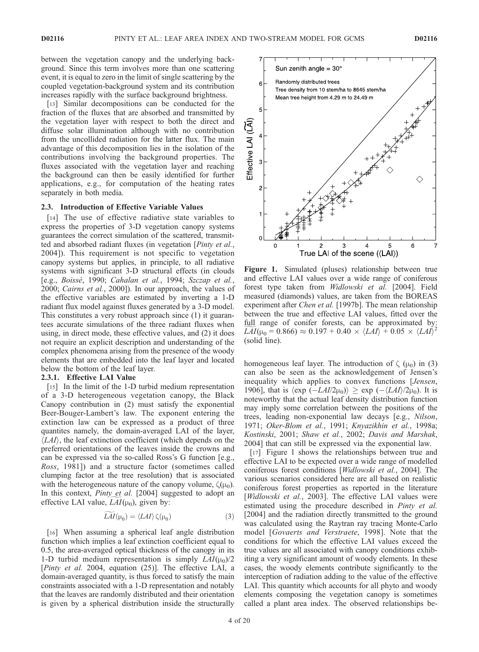between the vegetation canopy and the underlying background. Since this term involves more than one scattering event, it is equal to zero in the limit of single scattering by the coupled vegetation-background system and its contribution increases rapidly with the surface background brightness.

[13] Similar decompositions can be conducted for the fraction of the fluxes that are absorbed and transmitted by the vegetation layer with respect to both the direct and diffuse solar illumination although with no contribution from the uncollided radiation for the latter flux. The main advantage of this decomposition lies in the isolation of the contributions involving the background properties. The fluxes associated with the vegetation layer and reaching the background can then be easily identified for further applications, e.g., for computation of the heating rates separately in both media.

## 2.3. Introduction of Effective Variable Values

[14] The use of effective radiative state variables to express the properties of 3-D vegetation canopy systems guarantees the correct simulation of the scattered, transmitted and absorbed radiant fluxes (in vegetation [Pinty et al., 2004]). This requirement is not specific to vegetation canopy systems but applies, in principle, to all radiative systems with significant 3-D structural effects (in clouds [e.g., Boissé, 1990; Cahalan et al., 1994; Szczap et al., 2000; Cairns et al., 2000]). In our approach, the values of the effective variables are estimated by inverting a 1-D radiant flux model against fluxes generated by a 3-D model. This constitutes a very robust approach since (1) it guarantees accurate simulations of the three radiant fluxes when using, in direct mode, these effective values, and (2) it does not require an explicit description and understanding of the complex phenomena arising from the presence of the woody elements that are embedded into the leaf layer and located below the bottom of the leaf layer.

#### 2.3.1. Effective LAI Value

[15] In the limit of the 1-D turbid medium representation of a 3-D heterogeneous vegetation canopy, the Black Canopy contribution in (2) must satisfy the exponential Beer-Bouger-Lambert's law. The exponent entering the extinction law can be expressed as a product of three quantites namely, the domain-averaged LAI of the layer,  $\langle LAI \rangle$ , the leaf extinction coefficient (which depends on the preferred orientations of the leaves inside the crowns and can be expressed via the so-called Ross's G function [e.g., Ross, 1981]) and a structure factor (sometimes called clumping factor at the tree resolution) that is associated with the heterogeneous nature of the canopy volume,  $\zeta(\mu_0)$ . In this context, *Pinty et al.* [2004] suggested to adopt an effective LAI value,  $LAI(\mu_0)$ , given by:

$$
\overline{LAI}(\mu_0) = \langle LAI \rangle \zeta(\mu_0) \tag{3}
$$

[16] When assuming a spherical leaf angle distribution function which implies a leaf extinction coefficient equal to 0.5, the area-averaged optical thickness of the canopy in its 1-D turbid medium representation is simply  $LAI(\mu_0)/2$ [Pinty et al. 2004, equation (25)]. The effective LAI, a domain-averaged quantity, is thus forced to satisfy the main constraints associated with a 1-D representation and notably that the leaves are randomly distributed and their orientation is given by a spherical distribution inside the structurally



Figure 1. Simulated (pluses) relationship between true and effective LAI values over a wide range of coniferous forest type taken from Widlowski et al. [2004]. Field measured (diamonds) values, are taken from the BOREAS experiment after Chen et al. [1997b]. The mean relationship between the true and effective LAI values, fitted over the full range of conifer forests, can be approximated by:  $\widetilde{LAI}(\mu_0 = 0.866) \approx 0.197 + 0.40 \times \langle LAI \rangle + 0.05 \times \langle LAI \rangle^2$ (solid line).

homogeneous leaf layer. The introduction of  $\zeta(\mu_0)$  in (3) can also be seen as the acknowledgement of Jensen's inequality which applies to convex functions [Jensen, 1906], that is  $\langle \exp(-LAI/2\mu_0) \rangle \geq \exp(-\langle LAI \rangle/2\mu_0)$ . It is noteworthy that the actual leaf density distribution function may imply some correlation between the positions of the trees, leading non-exponential law decays [e.g., Nilson, 1971; Oker-Blom et al., 1991; Knyazikhin et al., 1998a; Kostinski, 2001; Shaw et al., 2002; Davis and Marshak, 2004] that can still be expressed via the exponential law.

[17] Figure 1 shows the relationships between true and effective LAI to be expected over a wide range of modelled coniferous forest conditions [Widlowski et al., 2004]. The various scenarios considered here are all based on realistic coniferous forest properties as reported in the literature [*Widlowski et al.*, 2003]. The effective LAI values were estimated using the procedure described in *Pinty et al.* [2004] and the radiation directly transmitted to the ground was calculated using the Raytran ray tracing Monte-Carlo model [Govaerts and Verstraete, 1998]. Note that the conditions for which the effective LAI values exceed the true values are all associated with canopy conditions exhibiting a very significant amount of woody elements. In these cases, the woody elements contribute significantly to the interception of radiation adding to the value of the effective LAI. This quantity which accounts for all phyto and woody elements composing the vegetation canopy is sometimes called a plant area index. The observed relationships be-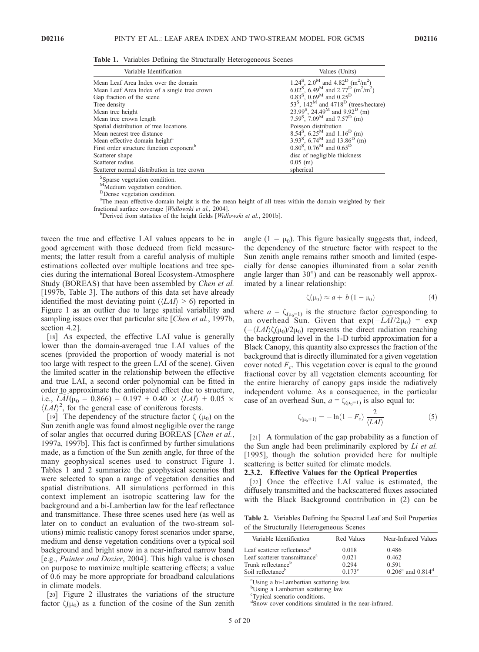Table 1. Variables Defining the Structurally Heterogeneous Scenes

| Variable Identification                              | Values (Units)                                                                                |  |
|------------------------------------------------------|-----------------------------------------------------------------------------------------------|--|
| Mean Leaf Area Index over the domain                 | 1.24 <sup>S</sup> , 2.0 <sup>M</sup> and 4.82 <sup>D</sup> (m <sup>2</sup> /m <sup>2</sup> )  |  |
| Mean Leaf Area Index of a single tree crown          | 6.02 <sup>S</sup> , 6.49 <sup>M</sup> and 2.77 <sup>D</sup> (m <sup>2</sup> /m <sup>2</sup> ) |  |
| Gap fraction of the scene                            | 0.83 <sup>S</sup> , 0.69 <sup>M</sup> and 0.25 <sup>D</sup>                                   |  |
| Tree density                                         | 53 <sup>S</sup> , 142 <sup>M</sup> and 4718 <sup>D</sup> (trees/hectare)                      |  |
| Mean tree height                                     | 23.99 <sup>S</sup> , 24.49 <sup>M</sup> and 9.92 <sup>D</sup> (m)                             |  |
| Mean tree crown length                               | 7.59 <sup>S</sup> , 7.09 <sup>M</sup> and 7.57 <sup>D</sup> (m)                               |  |
| Spatial distribution of tree locations               | Poisson distribution                                                                          |  |
| Mean nearest tree distance                           | 8.54 <sup>S</sup> , 6.25 <sup>M</sup> and 1.16 <sup>D</sup> (m)                               |  |
| Mean effective domain height <sup>a</sup>            | 3.93 <sup>S</sup> , 6.74 <sup>M</sup> and 13.86 <sup>D</sup> (m)                              |  |
| First order structure function exponent <sup>b</sup> | $0.80^{\text{S}}$ , $0.76^{\text{M}}$ and $0.65^{\text{D}}$                                   |  |
| Scatterer shape                                      | disc of negligible thickness                                                                  |  |
| Scatterer radius                                     | $0.05$ (m)                                                                                    |  |
| Scatterer normal distribution in tree crown          | spherical                                                                                     |  |

S Sparse vegetation condition.

 $M_M$ Medium vegetation condition.

<sup>D</sup>Dense vegetation condition.

<sup>a</sup>The mean effective domain height is the the mean height of all trees within the domain weighted by their fractional surface coverage [Widlowski et al., 2004].

<sup>b</sup>Derived from statistics of the height fields [*Widlowski et al.*, 2001b].

tween the true and effective LAI values appears to be in good agreement with those deduced from field measurements; the latter result from a careful analysis of multiple estimations collected over multiple locations and tree species during the international Boreal Ecosystem-Atmosphere Study (BOREAS) that have been assembled by *Chen et al.* [1997b, Table 3]. The authors of this data set have already identified the most deviating point ( $\langle LAI \rangle > 6$ ) reported in Figure 1 as an outlier due to large spatial variability and sampling issues over that particular site [Chen et al., 1997b, section 4.2].

[18] As expected, the effective LAI value is generally lower than the domain-averaged true LAI values of the scenes (provided the proportion of woody material is not too large with respect to the green LAI of the scene). Given the limited scatter in the relationship between the effective and true LAI, a second order polynomial can be fitted in order to approximate the anticipated effect due to structure, i.e.,  $LAI(\mu_0 = 0.866) = 0.197 + 0.40 \times \langle LAI \rangle + 0.05 \times$  $\langle L \hat{A} I \rangle^2$ , for the general case of coniferous forests.

[19] The dependency of the structure factor  $\zeta(\mu_0)$  on the Sun zenith angle was found almost negligible over the range of solar angles that occurred during BOREAS [Chen et al., 1997a, 1997b]. This fact is confirmed by further simulations made, as a function of the Sun zenith angle, for three of the many geophysical scenes used to construct Figure 1. Tables 1 and 2 summarize the geophysical scenarios that were selected to span a range of vegetation densities and spatial distributions. All simulations performed in this context implement an isotropic scattering law for the background and a bi-Lambertian law for the leaf reflectance and transmittance. These three scenes used here (as well as later on to conduct an evaluation of the two-stream solutions) mimic realistic canopy forest scenarios under sparse, medium and dense vegetation conditions over a typical soil background and bright snow in a near-infrared narrow band [e.g., Painter and Dozier, 2004]. This high value is chosen on purpose to maximize multiple scattering effects; a value of 0.6 may be more appropriate for broadband calculations in climate models.

[20] Figure 2 illustrates the variations of the structure factor  $\zeta(\mu_0)$  as a function of the cosine of the Sun zenith angle  $(1 - \mu_0)$ . This figure basically suggests that, indeed, the dependency of the structure factor with respect to the Sun zenith angle remains rather smooth and limited (especially for dense canopies illuminated from a solar zenith angle larger than  $30^{\circ}$ ) and can be reasonably well approximated by a linear relationship:

$$
\zeta(\mu_0) \approx a + b \left(1 - \mu_0\right) \tag{4}
$$

where  $a = \zeta_{(\mu_0=1)}$  is the structure factor corresponding to an overhead Sun. Given that  $exp(-\frac{L}{4I/2\mu_0}) = exp$  $\langle -\langle L A I \rangle \zeta(\mu_0)/2\mu_0$  represents the direct radiation reaching the background level in the 1-D turbid approximation for a Black Canopy, this quantity also expresses the fraction of the background that is directly illuminated for a given vegetation cover noted  $F<sub>c</sub>$ . This vegetation cover is equal to the ground fractional cover by all vegetation elements accounting for the entire hierarchy of canopy gaps inside the radiatively independent volume. As a consequence, in the particular case of an overhead Sun,  $a = \zeta_{(\mu_0=1)}$  is also equal to:

$$
\zeta_{(\mu_0=1)} = -\ln(1 - F_c) \frac{2}{\langle LAI \rangle} \tag{5}
$$

[21] A formulation of the gap probability as a function of the Sun angle had been preliminarily explored by Li et al. [1995], though the solution provided here for multiple scattering is better suited for climate models.

#### 2.3.2. Effective Values for the Optical Properties

[22] Once the effective LAI value is estimated, the diffusely transmitted and the backscattered fluxes associated with the Black Background contribution in (2) can be

Table 2. Variables Defining the Spectral Leaf and Soil Properties of the Structurally Heterogeneous Scenes

| Variable Identification                   | Red Values      | Near-Infrared Values                |
|-------------------------------------------|-----------------|-------------------------------------|
| Leaf scatterer reflectance <sup>a</sup>   | 0.018           | 0.486                               |
| Leaf scatterer transmittance <sup>a</sup> | 0.021           | 0.462                               |
| Trunk reflectance <sup>b</sup>            | 0.294           | 0.591                               |
| Soil reflectance <sup>b</sup>             | $0.173^{\circ}$ | $0.206^{\circ}$ and $0.814^{\circ}$ |

a Using a bi-Lambertian scattering law.

b Using a Lambertian scattering law.

c Typical scenario conditions.

<sup>d</sup>Snow cover conditions simulated in the near-infrared.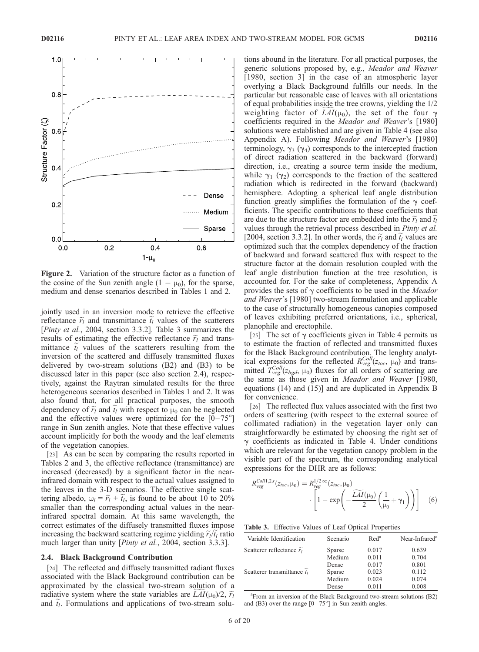

Figure 2. Variation of the structure factor as a function of the cosine of the Sun zenith angle  $(1 - \mu_0)$ , for the sparse, medium and dense scenarios described in Tables 1 and 2.

jointly used in an inversion mode to retrieve the effective reflectance  $\tilde{r}_l$  and transmittance  $t_l$  values of the scatterers [Pinty et al., 2004, section 3.3.2]. Table 3 summarizes the results of estimating the effective reflectance  $\widetilde{r}_l$  and transmittance  $\tilde{t}_l$  values of the scatterers resulting from the inversion of the scattered and diffusely transmitted fluxes delivered by two-stream solutions (B2) and (B3) to be discussed later in this paper (see also section 2.4), respectively, against the Raytran simulated results for the three heterogeneous scenarios described in Tables 1 and 2. It was also found that, for all practical purposes, the smooth dependency of  $\tilde{r}_l$  and  $\tilde{t}_l$  with respect to  $\mu_0$  can be neglected and the effective values were optimized for the  $[0-75^{\circ}]$ range in Sun zenith angles. Note that these effective values account implicitly for both the woody and the leaf elements of the vegetation canopies.

[23] As can be seen by comparing the results reported in Tables 2 and 3, the effective reflectance (transmittance) are increased (decreased) by a significant factor in the nearinfrared domain with respect to the actual values assigned to the leaves in the 3-D scenarios. The effective single scattering albedo,  $\omega_l = \widetilde{r}_l + \widetilde{t}_l$ , is found to be about 10 to 20% smaller than the corresponding actual values in the nearinfrared spectral domain. At this same wavelength, the correct estimates of the diffusely transmitted fluxes impose increasing the backward scattering regime yielding  $\tilde{r}_l/\tilde{t}_l$  ratio much larger than unity [*Pinty et al.*, 2004, section 3.3.3].

#### 2.4. Black Background Contribution

[24] The reflected and diffusely transmitted radiant fluxes associated with the Black Background contribution can be approximated by the classical two-stream solution of a radiative system where the state variables are  $LAI(\mu_0)/2$ ,  $\widetilde{r}_l$ and  $t_l$ . Formulations and applications of two-stream solu-

tions abound in the literature. For all practical purposes, the generic solutions proposed by, e.g., Meador and Weaver [1980, section 3] in the case of an atmospheric layer overlying a Black Background fulfills our needs. In the particular but reasonable case of leaves with all orientations of equal probabilities inside the tree crowns, yielding the 1/2 weighting factor of  $LAI(\mu_0)$ , the set of the four  $\gamma$ coefficients required in the Meador and Weaver's [1980] solutions were established and are given in Table 4 (see also Appendix A). Following *Meador and Weaver's* [1980] terminology,  $\gamma_3$  ( $\gamma_4$ ) corresponds to the intercepted fraction of direct radiation scattered in the backward (forward) direction, i.e., creating a source term inside the medium, while  $\gamma_1$  ( $\gamma_2$ ) corresponds to the fraction of the scattered radiation which is redirected in the forward (backward) hemisphere. Adopting a spherical leaf angle distribution function greatly simplifies the formulation of the  $\gamma$  coefficients. The specific contributions to these coefficients that are due to the structure factor are embedded into the  $\widetilde{r}_l$  and  $\widetilde{t}_l$ values through the retrieval process described in Pinty et al. [2004, section 3.3.2]. In other words, the  $\tilde{r}_l$  and  $\tilde{t}_l$  values are optimized such that the complex dependency of the fraction of backward and forward scattered flux with respect to the structure factor at the domain resolution coupled with the leaf angle distribution function at the tree resolution, is accounted for. For the sake of completeness, Appendix A provides the sets of  $\gamma$  coefficients to be used in the *Meador* and Weaver's [1980] two-stream formulation and applicable to the case of structurally homogeneous canopies composed of leaves exhibiting preferred orientations, i.e., spherical, planophile and erectophile.

[25] The set of  $\gamma$  coefficients given in Table 4 permits us to estimate the fraction of reflected and transmitted fluxes for the Black Background contribution. The lenghty analytical expressions for the reflected  $R_{\text{veg}}^{\text{Coll}}(z_{\text{loc}}, \mu_0)$  and transmitted  $T_{veg}^{Coll}(z_{bgd}, \mu_0)$  fluxes for all orders of scattering are the same as those given in Meador and Weaver [1980, equations (14) and (15)] and are duplicated in Appendix B for convenience.

[26] The reflected flux values associated with the first two orders of scattering (with respect to the external source of collimated radiation) in the vegetation layer only can straightforwardly be estimated by choosing the right set of  $\gamma$  coefficients as indicated in Table 4. Under conditions which are relevant for the vegetation canopy problem in the visible part of the spectrum, the corresponding analytical expressions for the DHR are as follows:

$$
R_{\text{veg}}^{\text{Coll1,2s}}(z_{\text{loc}}, \mu_0) = R_{\text{veg}}^{1/2 \infty}(z_{\text{loc}}, \mu_0) \cdot \left[1 - \exp\left(-\frac{\widetilde{LAI}(\mu_0)}{2}\left(\frac{1}{\mu_0} + \gamma_1\right)\right)\right] \quad (6)
$$

Table 3. Effective Values of Leaf Optical Properties

| Variable Identification             | Scenario      | Red <sup>a</sup> | Near-Infrared <sup>a</sup> |
|-------------------------------------|---------------|------------------|----------------------------|
| Scatterer reflectance $\tilde{r}_1$ | <b>Sparse</b> | 0.017            | 0.639                      |
|                                     | Medium        | 0.011            | 0.704                      |
|                                     | Dense         | 0.017            | 0.801                      |
| Scatterer transmittance $t_1$       | Sparse        | 0.023            | 0.112                      |
|                                     | Medium        | 0.024            | 0.074                      |
|                                     | Dense         | 0.011            | 0.008                      |

a From an inversion of the Black Background two-stream solutions (B2) and (B3) over the range  $[0-75^{\circ}]$  in Sun zenith angles.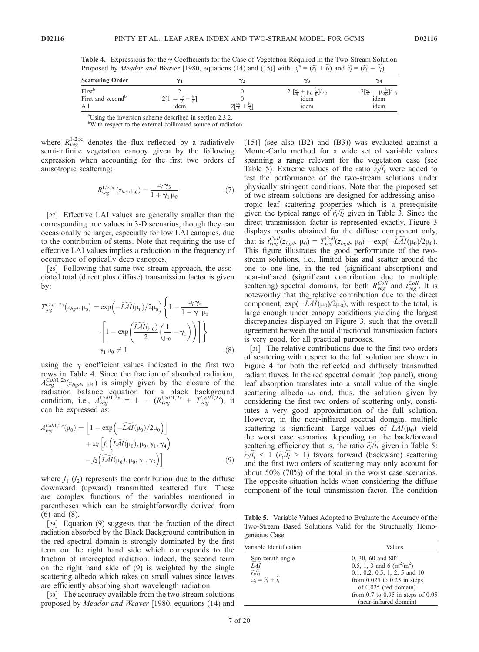Table 4. Expressions for the  $\gamma$  Coefficients for the Case of Vegetation Required in the Two-Stream Solution Proposed by *Meador and Weaver* [1980, equations (14) and (15)] with  $\omega_l^{\hat{a}} = (\tilde{r}_l + \tilde{t}_l)$  and  $\delta_l^{\hat{a}} = (\tilde{r}_l - \tilde{t}_l)$ 

| <b>Scattering Order</b>                       |                    |                                                  |                                                                                           |                                                                                  |
|-----------------------------------------------|--------------------|--------------------------------------------------|-------------------------------------------------------------------------------------------|----------------------------------------------------------------------------------|
| First<br>First and second <sup>b</sup><br>All | $\omega_l$<br>idem | $\gamma_{\rm F} \omega_{\rm I}$<br>$\sim$ $\sim$ | 2 $\frac{\omega_l}{l}$<br>$\mu_0 + \mu_0 \frac{\delta_l}{6}$ / $\omega_l$<br>idem<br>idem | $\gamma_{\rm{f}}\omega_{l}$<br>$\frac{\mu_0 \frac{\delta l}{6}}{1}$ idem<br>idem |

<sup>a</sup>Using the inversion scheme described in section 2.3.2.

<sup>b</sup>With respect to the external collimated source of radiation.

where  $R_{\text{veg}}^{1/2\infty}$  denotes the flux reflected by a radiatively semi-infinite vegetation canopy given by the following expression when accounting for the first two orders of anisotropic scattering:

$$
R_{\text{veg}}^{1/2 \infty}(z_{\text{loc}}, \mu_0) = \frac{\omega_l \gamma_3}{1 + \gamma_1 \mu_0} \tag{7}
$$

[27] Effective LAI values are generally smaller than the corresponding true values in 3-D scenarios, though they can occasionally be larger, especially for low LAI canopies, due to the contribution of stems. Note that requiring the use of effective LAI values implies a reduction in the frequency of occurrence of optically deep canopies.

[28] Following that same two-stream approach, the associated total (direct plus diffuse) transmission factor is given by:

$$
T_{\text{vgg}}^{\text{Coll1,2s}}(z_{\text{bgd}}, \mu_0) = \exp\left(-\widetilde{\text{LAI}}(\mu_0)/2\mu_0\right) \left\{1 - \frac{\omega_l \gamma_4}{1 - \gamma_1 \mu_0} \right.\n\left.\left.\left[1 - \exp\left(\frac{\widetilde{\text{LAI}}(\mu_0)}{2}\left(\frac{1}{\mu_0} - \gamma_1\right)\right)\right]\right\}
$$
\n
$$
\gamma_1 \mu_0 \neq 1
$$
\n(8)

using the  $\gamma$  coefficient values indicated in the first two rows in Table 4. Since the fraction of absorbed radiation,  $A_{veg}^{Coll1,2s}(z_{bgd}, \mu_0)$  is simply given by the closure of the radiation balance equation for a black background condition, i.e.,  $A_{veg}^{Coll1,2s} = 1 - (R_{veg}^{Coll1,2s} + T_{veg}^{Coll1,2s})$ , it can be expressed as:

$$
A_{\text{veg}}^{Coll1,2s}(\mu_0) = \left[1 - \exp\left(-\widetilde{LAI}(\mu_0)/2\mu_0\right)\right] + \omega_l \left[f_1\left(\widetilde{LAI}(\mu_0), \mu_0, \gamma_1, \gamma_4\right) - f_2\left(\widetilde{LAI}(\mu_0), \mu_0, \gamma_1, \gamma_3\right)\right]
$$
(9)

where  $f_1$  ( $f_2$ ) represents the contribution due to the diffuse downward (upward) transmitted scattered flux. These are complex functions of the variables mentioned in parentheses which can be straightforwardly derived from (6) and (8).

[29] Equation (9) suggests that the fraction of the direct radiation absorbed by the Black Background contribution in the red spectral domain is strongly dominated by the first term on the right hand side which corresponds to the fraction of intercepted radiation. Indeed, the second term on the right hand side of (9) is weighted by the single scattering albedo which takes on small values since leaves are efficiently absorbing short wavelength radiation.

[30] The accuracy available from the two-stream solutions proposed by *Meador and Weaver* [1980, equations (14) and (15)] (see also (B2) and (B3)) was evaluated against a Monte-Carlo method for a wide set of variable values spanning a range relevant for the vegetation case (see Table 5). Extreme values of the ratio  $\tilde{r}_l/t_l$  were added to test the performance of the two-stream solutions under physically stringent conditions. Note that the proposed set of two-stream solutions are designed for addressing anisotropic leaf scattering properties which is a prerequisite given the typical range of  $\tilde{r}_l/t_l$  given in Table 3. Since the direct transmission factor is represented exactly, Figure 3 displays results obtained for the diffuse component only, that is  $t_{\text{veg}}^{\text{Coll}}(z_{\text{bgd}}, \mu_0) = T_{\text{veg}}^{\text{Coll}}(z_{\text{bgd}}, \mu_0) - \exp(-\widetilde{LAI}(\mu_0)/2\mu_0).$ This figure illustrates the good performance of the twostream solutions, i.e., limited bias and scatter around the one to one line, in the red (significant absorption) and near-infrared (significant contribution due to multiple scattering) spectral domains, for both  $R_{veg}^{Coll}$  and  $t_{veg}^{Coll}$ . It is noteworthy that the relative contribution due to the direct component,  $\exp(-LAI(\mu_0)/2\mu_0)$ , with respect to the total, is large enough under canopy conditions yielding the largest discrepancies displayed on Figure 3, such that the overall agreement between the total directional transmission factors is very good, for all practical purposes.

[31] The relative contributions due to the first two orders of scattering with respect to the full solution are shown in Figure 4 for both the reflected and diffusely transmitted radiant fluxes. In the red spectral domain (top panel), strong leaf absorption translates into a small value of the single scattering albedo  $\omega_l$  and, thus, the solution given by considering the first two orders of scattering only, constitutes a very good approximation of the full solution. However, in the near-infrared spectral domain, multiple scattering is significant. Large values of  $LAI(\mu_0)$  yield the worst case scenarios depending on the back/forward scattering efficiency that is, the ratio  $\tilde{r}_l/\tilde{t}_l$  given in Table 5:  $\widetilde{r}_l/\widetilde{t}_l$  < 1 ( $\widetilde{r}_l/\widetilde{t}_l$  > 1) favors forward (backward) scattering and the first two orders of scattering may only account for about 50% (70%) of the total in the worst case scenarios. The opposite situation holds when considering the diffuse component of the total transmission factor. The condition

Table 5. Variable Values Adopted to Evaluate the Accuracy of the Two-Stream Based Solutions Valid for the Structurally Homogeneous Case

| Variable Identification                                                                                        | Values                                                                                                                                                                                                                        |
|----------------------------------------------------------------------------------------------------------------|-------------------------------------------------------------------------------------------------------------------------------------------------------------------------------------------------------------------------------|
| Sun zenith angle<br>LAI<br>$\widetilde{r_l}/\widetilde{t_l}$<br>$\omega_l = \widetilde{r_l} + \widetilde{t_l}$ | 0, 30, 60 and $80^{\circ}$<br>0.5, 1, 3 and 6 $(m^2/m^2)$<br>$0.1, 0.2, 0.5, 1, 2, 5$ and 10<br>from $0.025$ to $0.25$ in steps<br>of 0.025 (red domain)<br>from $0.7$ to $0.95$ in steps of $0.05$<br>(near-infrared domain) |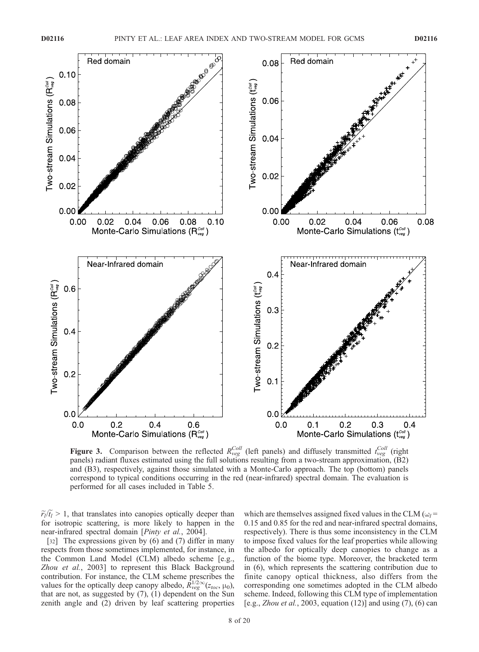

**Figure 3.** Comparison between the reflected  $R_{veg}^{Coll}$  (left panels) and diffusely transmitted  $t_{veg}^{Coll}$  (right panels) radiant fluxes estimated using the full solutions resulting from a two-stream approximation, (B2) and (B3), respectively, against those simulated with a Monte-Carlo approach. The top (bottom) panels correspond to typical conditions occurring in the red (near-infrared) spectral domain. The evaluation is performed for all cases included in Table 5.

 $\widetilde{r}_l/\widetilde{t}_l > 1$ , that translates into canopies optically deeper than for isotropic scattering, is more likely to happen in the near-infrared spectral domain [*Pinty et al.*, 2004].

[32] The expressions given by (6) and (7) differ in many respects from those sometimes implemented, for instance, in the Common Land Model (CLM) albedo scheme [e.g., Zhou et al., 2003] to represent this Black Background contribution. For instance, the CLM scheme prescribes the values for the optically deep canopy albedo,  $\hat{R}^{1/2\infty}_{\text{veg}}(z_{\text{loc}}, \mu_0)$ , that are not, as suggested by (7), (1) dependent on the Sun zenith angle and (2) driven by leaf scattering properties

which are themselves assigned fixed values in the CLM ( $\omega_l$  = 0.15 and 0.85 for the red and near-infrared spectral domains, respectively). There is thus some inconsistency in the CLM to impose fixed values for the leaf properties while allowing the albedo for optically deep canopies to change as a function of the biome type. Moreover, the bracketed term in (6), which represents the scattering contribution due to finite canopy optical thickness, also differs from the corresponding one sometimes adopted in the CLM albedo scheme. Indeed, following this CLM type of implementation [e.g., Zhou et al., 2003, equation (12)] and using (7), (6) can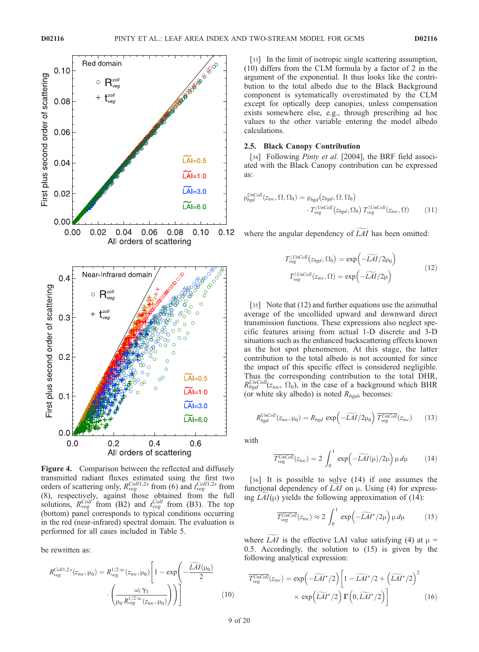

Figure 4. Comparison between the reflected and diffusely transmitted radiant fluxes estimated using the first two orders of scattering only,  $R_{\text{veg}}^{Coll1,2s}$  from (6) and  $t_{\text{veg}}^{Coll1,2s}$  from (8), respectively, against those obtained from the full solutions,  $R_{veg}^{Coll'}$  from (B2) and  $t_{veg}^{Coll}$  from (B3). The top (bottom) panel corresponds to typical conditions occurring in the red (near-infrared) spectral domain. The evaluation is performed for all cases included in Table 5.

be rewritten as:

$$
R_{\text{veg}}^{\text{Coll1,2s}}(z_{\text{loc}}, \mu_0) = R_{\text{veg}}^{1/2 \infty}(z_{\text{loc}}, \mu_0) \left[ 1 - \exp\left( -\frac{\widetilde{LAI}(\mu_0)}{2} \cdot \left( \frac{\mu_0 \gamma_3}{\mu_0 R_{\text{veg}}^{1/2 \infty}(z_{\text{loc}}, \mu_0)} \right) \right) \right]
$$
(10)

[33] In the limit of isotropic single scattering assumption, (10) differs from the CLM formula by a factor of 2 in the argument of the exponential. It thus looks like the contribution to the total albedo due to the Black Background component is sytematically overestimated by the CLM except for optically deep canopies, unless compensation exists somewhere else, e.g., through prescribing ad hoc values to the other variable entering the model albedo calculations.

## 2.5. Black Canopy Contribution

[34] Following *Pinty et al.* [2004], the BRF field associated with the Black Canopy contribution can be expressed as:

$$
\rho_{bgd}^{UnColl}(z_{loc}, \Omega, \Omega_0) = \rho_{bgd}(z_{bgd}, \Omega, \Omega_0)
$$

$$
\cdot T_{veg}^{[UnColl}(z_{bgd}, \Omega_0) T_{veg}^{[UnColl}(z_{loc}, \Omega)
$$
 (11)

where the angular dependency of  $LAI$  has been omitted:

$$
T_{\text{veg}}^{UnColl}(z_{bgd}, \Omega_0) = \exp\left(-\widetilde{LAI}/2\mu_0\right)
$$
  

$$
T_{\text{veg}}^{UnColl}(z_{loc}, \Omega) = \exp\left(-\widetilde{LAI}/2\mu\right)
$$
 (12)

[35] Note that (12) and further equations use the azimuthal average of the uncollided upward and downward direct transmission functions. These expressions also neglect specific features arising from actual 1-D discrete and 3-D situations such as the enhanced backscattering effects known as the hot spot phenomenon. At this stage, the latter contribution to the total albedo is not accounted for since the impact of this specific effect is considered negligible. Thus the corresponding contribution to the total DHR,  $R_{bgd}^{UnColl}(z_{loc}, \Omega_0)$ , in the case of a background which BHR (or white sky albedo) is noted  $R_{bgd}$ , becomes:

$$
R_{bgd}^{UnColl}(z_{loc}, \mu_0) = R_{bgd} \exp\left(-\widetilde{LAI}/2\mu_0\right) \overline{T_{vgg}^{UnColl}}(z_{loc}) \qquad (13)
$$

with

$$
\overline{T_{\text{veg}}^{\text{UnColl}}}(z_{\text{loc}}) = 2 \int_0^1 \exp\left(-\widetilde{LAI}(\mu)/2\mu\right) \mu d\mu \tag{14}
$$

[36] It is possible to solve (14) if one assumes the functional dependency of  $LAI$  on  $\mu$ . Using (4) for expressing  $LAI(\mu)$  yields the following approximation of (14):

$$
\overline{T_{\text{veg}}^{\text{UnColl}}}(z_{\text{loc}}) \approx 2 \int_0^1 \exp\left(-\widetilde{LAI}^{\star}/2\mu\right)\mu d\mu \tag{15}
$$

where LAI is the effective LAI value satisfying (4) at  $\mu$  = 0.5. Accordingly, the solution to (15) is given by the following analytical expression:

$$
\overline{T_{\text{veg}}^{\text{UnColl}}}(z_{\text{loc}}) = \exp\left(-\widetilde{LAI}^{\star}/2\right) \left[1 - \widetilde{LAI}^{\star}/2 + \left(\widetilde{LAI}^{\star}/2\right)^{2} \times \exp\left(\widetilde{LAI}^{\star}/2\right) \Gamma\left(0, \widetilde{LAI}^{\star}/2\right)\right]
$$
\n
$$
\times \exp\left(\widetilde{LAI}^{\star}/2\right) \Gamma\left(0, \widetilde{LAI}^{\star}/2\right) \tag{16}
$$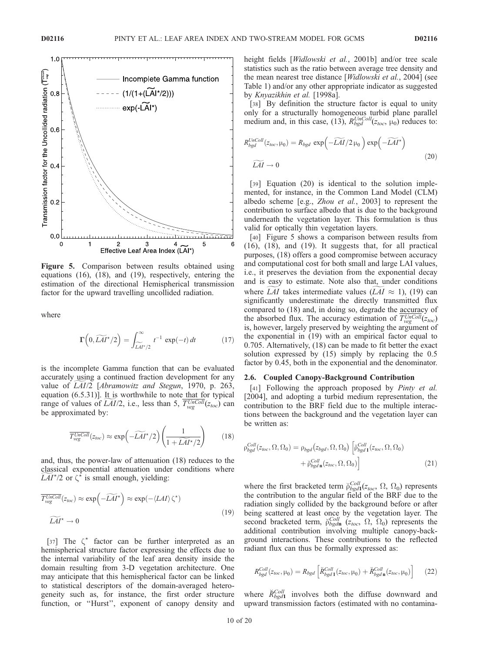

Figure 5. Comparison between results obtained using equations (16), (18), and (19), respectively, entering the estimation of the directional Hemispherical transmission factor for the upward travelling uncollided radiation.

where

$$
\Gamma\left(0,\widetilde{LAI^*}/2\right) = \int_{\widetilde{LAI^*}/2}^{\infty} t^{-1} \exp(-t) dt \qquad (17)
$$

is the incomplete Gamma function that can be evaluated accurately using a continued fraction development for any value of LAI/2 [Abramowitz and Stegun, 1970, p. 263, equation  $(6.5.31)$ ]. It is worthwhile to note that for typical range of values of *LAI*/2, i.e., less than 5,  $T_{\text{veg}}^{\text{UnColl}}(z_{\text{toc}})$  can be approximated by:

$$
\overline{T_{\text{veg}}^{\text{UnColl}}}(z_{\text{loc}}) \approx \exp\left(-\widetilde{LAI}^{\star}/2\right)\left(\frac{1}{1+\widetilde{LAI}^{\star}/2}\right) \tag{18}
$$

and, thus, the power-law of attenuation (18) reduces to the classical exponential attenuation under conditions where  $\widetilde{LAI}^{\star}/2$  or  $\zeta^{\star}$  is small enough, yielding:

$$
\overline{T_{\text{veg}}^{\text{UnColl}}}(z_{\text{loc}}) \approx \exp\left(-\widetilde{LAI}^{\star}\right) \approx \exp(-\langle LAI \rangle \zeta^{\star})
$$
\n
$$
\widetilde{LAI}^{\star} \to 0
$$
\n(19)

[37] The  $\zeta^*$  factor can be further interpreted as an hemispherical structure factor expressing the effects due to the internal variability of the leaf area density inside the domain resulting from 3-D vegetation architecture. One may anticipate that this hemispherical factor can be linked to statistical descriptors of the domain-averaged heterogeneity such as, for instance, the first order structure function, or ''Hurst'', exponent of canopy density and height fields [Widlowski et al., 2001b] and/or tree scale statistics such as the ratio between average tree density and the mean nearest tree distance [Widlowski et al., 2004] (see Table 1) and/or any other appropriate indicator as suggested by Knyazikhin et al. [1998a].

[38] By definition the structure factor is equal to unity only for a structurally homogeneous turbid plane parallel medium and, in this case, (13),  $R_{bgd}^{UnColl}(z_{toc}, \mu_0)$  reduces to:

$$
R_{bgd}^{UnColl}(z_{loc}, \mu_0) = R_{bgd} \exp\left(-\widetilde{LAI}/2\,\mu_0\right) \exp\left(-\widetilde{LAI}^{\star}\right)
$$
  

$$
\widetilde{LAI} \to 0
$$
 (20)

[39] Equation (20) is identical to the solution implemented, for instance, in the Common Land Model (CLM) albedo scheme [e.g., Zhou et al., 2003] to represent the contribution to surface albedo that is due to the background underneath the vegetation layer. This formulation is thus valid for optically thin vegetation layers.

[40] Figure 5 shows a comparison between results from (16), (18), and (19). It suggests that, for all practical purposes, (18) offers a good compromise between accuracy and computational cost for both small and large LAI values, i.e., it preserves the deviation from the exponential decay and is easy to estimate. Note also that, under conditions where LAI takes intermediate values (LAI  $\approx$  1), (19) can significantly underestimate the directly transmitted flux compared to (18) and, in doing so, degrade the accuracy of the absorbed flux. The accuracy estimation of  $T_{\text{v}eg}^{\text{UnColl}}(z_{\text{toc}})$ is, however, largely preserved by weighting the argument of the exponential in (19) with an empirical factor equal to 0.705. Alternatively, (18) can be made to fit better the exact solution expressed by (15) simply by replacing the 0.5 factor by 0.45, both in the exponential and the denominator.

#### 2.6. Coupled Canopy-Background Contribution

[41] Following the approach proposed by *Pinty et al.* [2004], and adopting a turbid medium representation, the contribution to the BRF field due to the multiple interactions between the background and the vegetation layer can be written as:

$$
\rho_{bgd}^{Coll}(z_{loc}, \Omega, \Omega_0) = \rho_{bgd}(z_{bgd}, \Omega, \Omega_0) \left[ \breve{\rho}_{bgd}^{Coll}(z_{loc}, \Omega, \Omega_0) + \breve{\rho}_{bgd}^{Coll}(z_{loc}, \Omega, \Omega_0) \right]
$$
\n(21)

where the first bracketed term  $\tilde{\rho}_{bgd1}^{Coll}(z_{toc}, \Omega, \Omega_0)$  represents the contribution to the angular field of the BRF due to the radiation singly collided by the background before or after being scattered at least once by the vegetation layer. The second bracketed term,  $\tilde{p}_{bgdn}^{Coll}$  ( $z_{loc}$ ,  $\Omega$ ,  $\Omega_0$ ) represents the additional contribution involving multiple canopy-background interactions. These contributions to the reflected radiant flux can thus be formally expressed as:

$$
R_{bgd}^{Coll}(z_{loc}, \mu_0) = R_{bgd} \left[ \breve{R}_{bgd}^{Coll}(z_{loc}, \mu_0) + \breve{R}_{bgd}^{Coll}(z_{loc}, \mu_0) \right]
$$
 (22)

where  $\check{\mathcal{R}}_{bgd1}^{Coll}$  involves both the diffuse downward and upward transmission factors (estimated with no contamina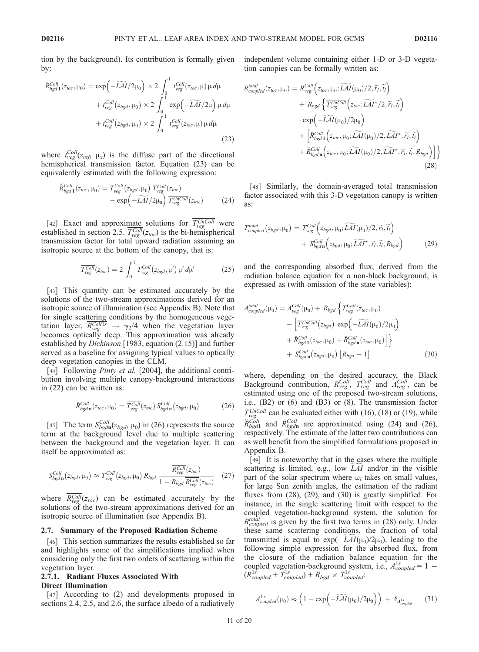tion by the background). Its contribution is formally given by:

$$
\breve{R}_{bgd1}^{Coll}(z_{loc}, \mu_0) = \exp\left(-\widetilde{LAI}/2\mu_0\right) \times 2 \int_0^1 t_{veg}^{Coll}(z_{loc}, \mu) \mu d\mu \n+ t_{veg}^{Coll}(z_{bgd}, \mu_0) \times 2 \int_0^1 \exp\left(-\widetilde{LAI}/2\mu\right) \mu d\mu \n+ t_{veg}^{Coll}(z_{bgd}, \mu_0) \times 2 \int_0^1 t_{veg}^{Coll}(z_{loc}, \mu) \mu d\mu
$$
\n(23)

where  $t_{\text{veg}}^{Coll}(z_{\text{ref}}, \mu_x)$  is the diffuse part of the directional hemispherical transmission factor. Equation (23) can be equivalently estimated with the following expression:

$$
\breve{R}_{bgd1}^{Coll}(z_{loc}, \mu_0) = T_{veg}^{Coll}(z_{bgd}, \mu_0) \overline{T_{veg}^{Coll}(z_{loc})}
$$

$$
- \exp\left(-\widetilde{LAI}/2\mu_0\right) \overline{T_{veg}^{UnColl}}(z_{loc}) \tag{24}
$$

[42] Exact and approximate solutions for  $T_{\text{veg}}^{UnColl}$  were established in section 2.5.  $T_{\text{veg}}^{\text{Coll}}(z_{\text{toc}})$  is the bi-hemispherical transmission factor for total upward radiation assuming an isotropic source at the bottom of the canopy, that is:

$$
\overline{T_{\text{veg}}^{\text{Coll}}}(z_{\text{loc}}) = 2 \int_0^1 T_{\text{veg}}^{\text{Coll}}(z_{\text{bgd}}, \mu') \,\mu' \,d\mu'
$$
\n(25)

[43] This quantity can be estimated accurately by the solutions of the two-stream approximations derived for an isotropic source of illumination (see Appendix B). Note that for single scattering conditions by the homogeneous vegetation layer,  $\frac{PColl1s}{P_{veg}} \rightarrow \frac{\gamma_2}{4}$  when the vegetation layer becomes optically deep. This approximation was already established by Dickinson [1983, equation (2.15)] and further served as a baseline for assigning typical values to optically deep vegetation canopies in the CLM.

[44] Following *Pinty et al.* [2004], the additional contribution involving multiple canopy-background interactions in (22) can be written as:

$$
\breve{R}_{bgd\,\mathbf{n}}^{Coll}(z_{loc},\mu_0) = \overline{T_{veg}^{Coll}}(z_{loc}) S_{bgd\,\mathbf{n}}^{Coll}(z_{bgd},\mu_0)
$$
\n(26)

[45] The term  $S_{bgdn}^{Coll}(z_{bgd}, \mu_0)$  in (26) represents the source term at the background level due to multiple scattering between the background and the vegetation layer. It can itself be approximated as:

$$
S_{bgd\,\mathbf{n}}^{Coll}(z_{bgd},\mu_0) \approx T_{veg}^{Coll}(z_{bgd},\mu_0) R_{bgd} \frac{\overline{R_{veg}^{Coll}}(z_{loc})}{1 - R_{bgd} \,\overline{R_{veg}^{Coll}}(z_{loc})} \quad (27)
$$

where  $R_{veg}^{Coll}(z_{toc})$  can be estimated accurately by the solutions of the two-stream approximations derived for an isotropic source of illumination (see Appendix B).

#### 2.7. Summary of the Proposed Radiation Scheme

[46] This section summarizes the results established so far and highlights some of the simplifications implied when considering only the first two orders of scattering within the vegetation layer.

# 2.7.1. Radiant Fluxes Associated With Direct Illumination

[47] According to (2) and developments proposed in sections 2.4, 2.5, and 2.6, the surface albedo of a radiatively independent volume containing either 1-D or 3-D vegetation canopies can be formally written as:

$$
R_{coupled}^{total}(z_{loc}, \mu_0) = R_{veg}^{Coll} \left( z_{loc}, \mu_0; \widetilde{LAI}(\mu_0)/2, \widetilde{r}_l, \widetilde{t}_l \right) + R_{bgd} \left\{ \overline{T_{veg}^{UnColl}} \left( z_{loc}; \widetilde{LAI}^{\star}/2, \widetilde{r}_l, \widetilde{t}_l \right) \right. \cdot \exp \left( -\widetilde{LAI}(\mu_0)/2\mu_0 \right) + \left[ \widetilde{R}_{bgd}^{Coll} \left( z_{loc}, \mu_0; \widetilde{LAI}(\mu_0)/2, \widetilde{LAI}^{\star}, \widetilde{r}_l, \widetilde{t}_l \right) \right. + \widetilde{R}_{bgd}^{Coll} \left( z_{loc}, \mu_0; \widetilde{LAI}(\mu_0)/2, \widetilde{LAI}^{\star}, \widetilde{r}_l, \widetilde{t}_l, R_{bgd} \right) \right] \} \tag{28}
$$

[48] Similarly, the domain-averaged total transmission factor associated with this 3-D vegetation canopy is written as:

$$
T_{coupled}^{total}(z_{bgd}, \mu_0) = T_{vg}^{Coll}(z_{bgd}, \mu_0; \widetilde{LAI}(\mu_0)/2, \widetilde{r}_l, \widetilde{t}_l) + S_{bgd \, \mathbf{n}}^{Coll} (z_{bgd}, \mu_0; \widetilde{LAI}^{\star}, \widetilde{r}_l, \widetilde{t}_l, R_{bgd})
$$
(29)

and the corresponding absorbed flux, derived from the radiation balance equation for a non-black background, is expressed as (with omission of the state variables):

$$
A_{coupled}^{total}(\mu_0) = A_{veg}^{Coll}(\mu_0) + R_{bgd} \left\{ T_{veg}^{Coll}(z_{loc}, \mu_0) - \left[ \overline{T_{veg}^{UnColl}}(z_{bgd}) \exp\left(-\widetilde{LAI}(\mu_0)/2\mu_0\right) \right. \\ \left. + \widetilde{R}_{bgd}^{Coll}(z_{loc}, \mu_0) + \widetilde{R}_{bgd}^{Coll}(z_{loc}, \mu_0) \right] \right\} \\ + S_{bgd}^{Coll} \left[ z_{bgd}, \mu_0 \right] \left[ R_{bgd} - 1 \right] \tag{30}
$$

where, depending on the desired accuracy, the Black Background contribution,  $R_{veg}^{Coll}$ ,  $T_{veg}^{Coll}$  and  $A_{veg}^{Coll}$ , can be estimated using one of the proposed two-stream solutions, i.e., (B2) or (6) and (B3) or (8). The transmission factor  $T_{\text{veg}}^{\text{UnColl}}$  can be evaluated either with (16), (18) or (19), while  $\breve{R}_{bgd1}^{Coll}$  and  $\breve{R}_{bgd1}^{Coll}$  are approximated using (24) and (26), respectively. The estimate of the latter two contributions can as well benefit from the simplified formulations proposed in Appendix B.

[49] It is noteworthy that in the cases where the multiple scattering is limited, e.g., low  $LAI$  and/or in the visible part of the solar spectrum where  $\omega_l$  takes on small values, for large Sun zenith angles, the estimation of the radiant fluxes from (28), (29), and (30) is greatly simplified. For instance, in the single scattering limit with respect to the coupled vegetation-background system, the solution for  $R_{coupled}^{total}$  is given by the first two terms in (28) only. Under these same scattering conditions, the fraction of total transmitted is equal to  $exp(-LAI(\mu_0)/2\mu_0)$ , leading to the following simple expression for the absorbed flux, from the closure of the radiation balance equation for the coupled vegetation-background system, i.e.,  $A_{coupled}^{1s} = 1 (R_{\textit{coupled}}^{1s} + T_{\textit{coupled}}^{1s}) + R_{bgd} \times T_{\textit{coupled}}^{1s}$ 

$$
A_{\textit{coupled}}^{1s}(\mu_0) \approx \left(1 - \exp\left(-\widetilde{LAI}(\mu_0)/2\mu_0\right)\right) + \delta_{A_{\textit{coupled}}^{1s}} \qquad (31)
$$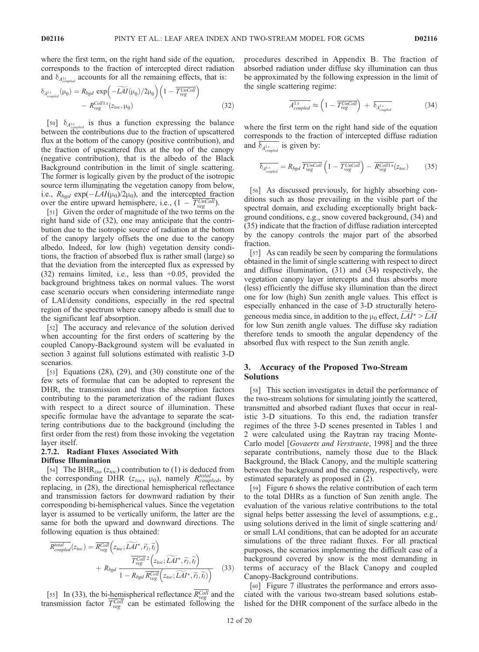where the first term, on the right hand side of the equation, corresponds to the fraction of intercepted direct radiation and  $\delta_{A_{coupled}^{1s}}$  accounts for all the remaining effects, that is:

$$
\delta_{A_{coupled}^{1s}}(\mu_0) = R_{bgd} \exp\left(-\widetilde{LAI}(\mu_0)/2\mu_0\right) \left(1 - \overline{T_{veg}^{UnColl}}\right) - R_{veg}^{Coll1s}(z_{loc}, \mu_0)
$$
\n(32)

[50]  $\delta_{A_{coupled}^{1s}}$  is thus a function expressing the balance between the contributions due to the fraction of upscattered flux at the bottom of the canopy (positive contribution), and the fraction of upscattered flux at the top of the canopy (negative contribution), that is the albedo of the Black Background contribution in the limit of single scattering. The former is logically given by the product of the isotropic source term illuminating the vegetation canopy from below, i.e.,  $R_{bgd}$  exp( $-LAI(\mu_0)/2\mu_0$ ), and the intercepted fraction over the entire upward hemisphere, i.e.,  $(1 - T_{\text{veg}}^{\text{UnColl}})$ .

[51] Given the order of magnitude of the two terms on the right hand side of (32), one may anticipate that the contribution due to the isotropic source of radiation at the bottom of the canopy largely offsets the one due to the canopy albedo. Indeed, for low (high) vegetation density conditions, the fraction of absorbed flux is rather small (large) so that the deviation from the intercepted flux as expressed by (32) remains limited, i.e., less than +0.05, provided the background brightness takes on normal values. The worst case scenario occurs when considering intermediate range of LAI/density conditions, especially in the red spectral region of the spectrum where canopy albedo is small due to the significant leaf absorption.

[52] The accuracy and relevance of the solution derived when accounting for the first orders of scattering by the coupled Canopy-Background system will be evaluated in section 3 against full solutions estimated with realistic 3-D scenarios.

[53] Equations (28), (29), and (30) constitute one of the few sets of formulae that can be adopted to represent the DHR, the transmission and thus the absorption factors contributing to the parameterization of the radiant fluxes with respect to a direct source of illumination. These specific formulae have the advantage to separate the scattering contributions due to the background (including the first order from the rest) from those invoking the vegetation layer itself.

## 2.7.2. Radiant Fluxes Associated With Diffuse Illumination

[54] The BHR<sub>iso</sub> ( $z_{toc}$ ) contribution to (1) is deduced from the corresponding DHR  $(z_{toc, \mu_0})$ , namely  $R_{coupled}^{total}$ , by replacing, in (28), the directional hemispherical reflectance and transmission factors for downward radiation by their corresponding bi-hemispherical values. Since the vegetation layer is assumed to be vertically uniform, the latter are the same for both the upward and downward directions. The following equation is thus obtained:

$$
\overline{R_{coupled}^{total}}(z_{loc}) = \overline{R_{veg}^{Coll}}\left(z_{loc}; \widetilde{LAI}^{\star}, \widetilde{r}_l, \widetilde{t}_l\right) + R_{bgd} \frac{\overline{T_{veg}^{Coll}}}{1 - R_{bgd} \overline{R_{veg}^{Coll}}\left(z_{loc}; \widetilde{LAI}^{\star}, \widetilde{r}_l, \widetilde{t}_l\right)} \tag{33}
$$

[55] In (33), the bi-hemispherical reflectance  $R_{\text{veg}}^{\text{Coll}}$  and the transmission factor  $T_{\text{veg}}^{\text{Coll}}$  can be estimated following the procedures described in Appendix B. The fraction of absorbed radiation under diffuse sky illumination can thus be approximated by the following expression in the limit of the single scattering regime:

$$
\overline{A_{\textit{coupled}}^{1s}} \approx \left(1 - \overline{T_{\textit{veg}}^{\textit{UnColl}}}\right) + \overline{\delta_{A_{\textit{coupled}}^{1s}}}
$$
\n(34)

where the first term on the right hand side of the equation corresponds to the fraction of intercepted diffuse radiation and  $\delta_{A_{\text{coupled}}^{1s}}$  is given by:

$$
\overline{\delta_{A_{coupled}^{1s}}} = R_{bgd} \overline{T_{veg}^{UnColl}} \left(1 - \overline{T_{veg}^{UnColl}}\right) - \overline{R_{veg}^{Collls}}(z_{loc}) \tag{35}
$$

[56] As discussed previously, for highly absorbing conditions such as those prevailing in the visible part of the spectral domain, and excluding exceptionally bright background conditions, e.g., snow covered background, (34) and (35) indicate that the fraction of diffuse radiation intercepted by the canopy controls the major part of the absorbed fraction.

[57] As can readily be seen by comparing the formulations obtained in the limit of single scattering with respect to direct and diffuse illumination, (31) and (34) respectively, the vegetation canopy layer intercepts and thus absorbs more (less) efficiently the diffuse sky illumination than the direct one for low (high) Sun zenith angle values. This effect is especially enhanced in the case of 3-D structurally heterogeneous media since, in addition to the  $\mu_0$  effect,  $LAI^* > LAI$ for low Sun zenith angle values. The diffuse sky radiation therefore tends to smooth the angular dependency of the absorbed flux with respect to the Sun zenith angle.

## 3. Accuracy of the Proposed Two-Stream Solutions

[58] This section investigates in detail the performance of the two-stream solutions for simulating jointly the scattered, transmitted and absorbed radiant fluxes that occur in realistic 3-D situations. To this end, the radiation transfer regimes of the three 3-D scenes presented in Tables 1 and 2 were calculated using the Raytran ray tracing Monte-Carlo model [Govaerts and Verstraete, 1998] and the three separate contributions, namely those due to the Black Background, the Black Canopy, and the multiple scattering between the background and the canopy, respectively, were estimated separately as proposed in (2).

[59] Figure 6 shows the relative contribution of each term to the total DHRs as a function of Sun zenith angle. The evaluation of the various relative contributions to the total signal helps better assessing the level of assumptions, e.g., using solutions derived in the limit of single scattering and/ or small LAI conditions, that can be adopted for an accurate simulations of the three radiant fluxes. For all practical purposes, the scenarios implementing the difficult case of a background covered by snow is the most demanding in terms of accuracy of the Black Canopy and coupled Canopy-Background contributions.

[60] Figure 7 illustrates the performance and errors associated with the various two-stream based solutions established for the DHR component of the surface albedo in the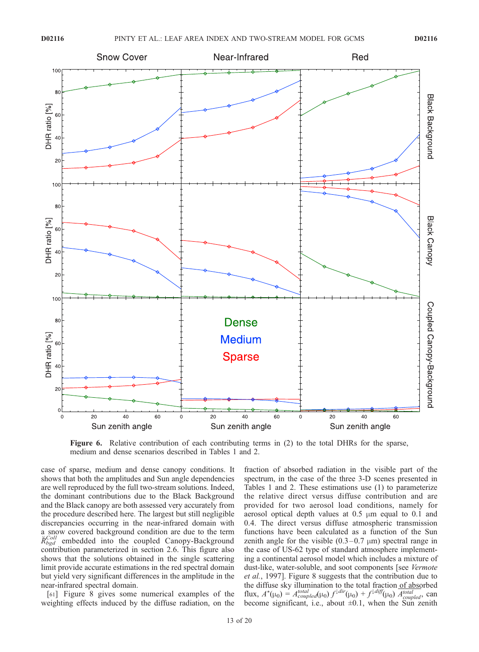

Figure 6. Relative contribution of each contributing terms in (2) to the total DHRs for the sparse, medium and dense scenarios described in Tables 1 and 2.

case of sparse, medium and dense canopy conditions. It shows that both the amplitudes and Sun angle dependencies are well reproduced by the full two-stream solutions. Indeed, the dominant contributions due to the Black Background and the Black canopy are both assessed very accurately from the procedure described here. The largest but still negligible discrepancies occurring in the near-infrared domain with a snow covered background condition are due to the term  $\breve{R}_{bgd}^{Coll}$  embedded into the coupled Canopy-Background contribution parameterized in section 2.6. This figure also shows that the solutions obtained in the single scattering limit provide accurate estimations in the red spectral domain but yield very significant differences in the amplitude in the near-infrared spectral domain.

[61] Figure 8 gives some numerical examples of the weighting effects induced by the diffuse radiation, on the fraction of absorbed radiation in the visible part of the spectrum, in the case of the three 3-D scenes presented in Tables 1 and 2. These estimations use (1) to parameterize the relative direct versus diffuse contribution and are provided for two aerosol load conditions, namely for aerosol optical depth values at  $0.5 \mu m$  equal to  $0.1 \text{ and}$ 0.4. The direct versus diffuse atmospheric transmission functions have been calculated as a function of the Sun zenith angle for the visible  $(0.3-0.7 \mu m)$  spectral range in the case of US-62 type of standard atmosphere implementing a continental aerosol model which includes a mixture of dust-like, water-soluble, and soot components [see Vermote et al., 1997]. Figure 8 suggests that the contribution due to the diffuse sky illumination to the total fraction of absorbed flux,  $A^*(\mu_0) = A_{coupled}^{total}(\mu_0) f^{\downarrow dir}(\mu_0) + f^{\downarrow diff}(\mu_0) \overline{A_{coupled}^{total}}$ , can become significant, i.e., about  $\pm 0.1$ , when the Sun zenith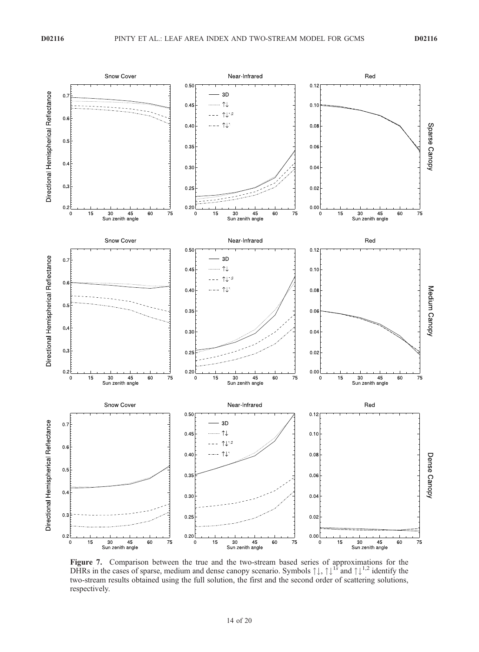

Figure 7. Comparison between the true and the two-stream based series of approximations for the DHRs in the cases of sparse, medium and dense canopy scenario. Symbols  $\uparrow \downarrow$ ,  $\uparrow \downarrow$ <sup>1s</sup> and  $\uparrow \downarrow$ <sup>1,2</sup> identify the two-stream results obtained using the full solution, the first and the second order of scattering solutions, respectively.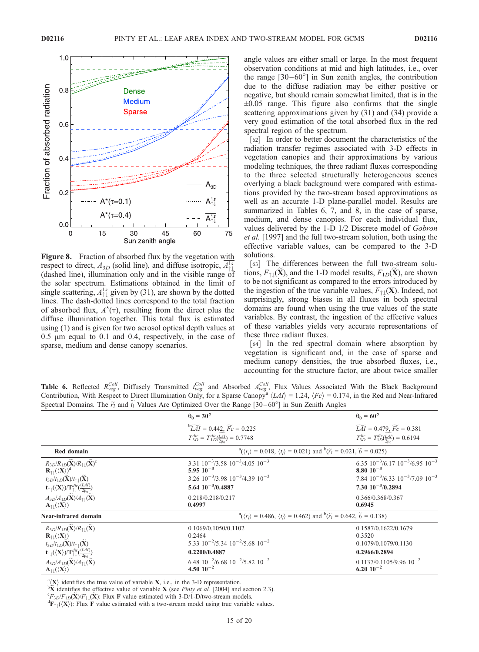

Figure 8. Fraction of absorbed flux by the vegetation with respect to direct,  $A_{3D}$  (solid line), and diffuse isotropic,  $A_{\uparrow\downarrow}^{1s}$ (dashed line), illumination only and in the visible range of the solar spectrum. Estimations obtained in the limit of single scattering,  $A_{\uparrow\downarrow}^{1s}$  given by (31), are shown by the dotted lines. The dash-dotted lines correspond to the total fraction of absorbed flux,  $A^*(\tau)$ , resulting from the direct plus the diffuse illumination together. This total flux is estimated using (1) and is given for two aerosol optical depth values at  $0.5 \mu m$  equal to  $0.1$  and  $0.4$ , respectively, in the case of sparse, medium and dense canopy scenarios.

angle values are either small or large. In the most frequent observation conditions at mid and high latitudes, i.e., over the range  $[30 - 60^{\circ}]$  in Sun zenith angles, the contribution due to the diffuse radiation may be either positive or negative, but should remain somewhat limited, that is in the  $\pm 0.05$  range. This figure also confirms that the single scattering approximations given by (31) and (34) provide a very good estimation of the total absorbed flux in the red spectral region of the spectrum.

[62] In order to better document the characteristics of the radiation transfer regimes associated with 3-D effects in vegetation canopies and their approximations by various modeling techniques, the three radiant fluxes corresponding to the three selected structurally heterogeneous scenes overlying a black background were compared with estimations provided by the two-stream based approximations as well as an accurate 1-D plane-parallel model. Results are summarized in Tables 6, 7, and 8, in the case of sparse, medium, and dense canopies. For each individual flux, values delivered by the 1-D 1/2 Discrete model of Gobron et al. [1997] and the full two-stream solution, both using the effective variable values, can be compared to the 3-D solutions.

[63] The differences between the full two-stream solutions,  $F_{\uparrow\perp}(\mathbf{X})$ , and the 1-D model results,  $F_{1D}(\mathbf{X})$ , are shown to be not significant as compared to the errors introduced by the ingestion of the true variable values,  $F_{\uparrow\downarrow}(\mathbf{X})$ . Indeed, not surprisingly, strong biases in all fluxes in both spectral domains are found when using the true values of the state variables. By contrast, the ingestion of the effective values of these variables yields very accurate representations of these three radiant fluxes.

[64] In the red spectral domain where absorption by vegetation is significant and, in the case of sparse and medium canopy densities, the true absorbed fluxes, i.e., accounting for the structure factor, are about twice smaller

**Table 6.** Reflected  $R_{veg}^{Coll}$ , Diffusely Transmitted  $t_{veg}^{Coll}$  and Absorbed  $A_{veg}^{Coll}$ , Flux Values Associated With the Black Background Contribution, With Respect to Direct Illumination Only, for a Sparse Canopy<sup>a</sup>  $\langle LAI \rangle = 1.24$ ,  $\langle Fc \rangle = 0.174$ , in the Red and Near-Infrared Spectral Domains. The  $\tilde{r}_i$  and  $\tilde{t}_i$  Values Are Optimized Over the Range [30–60°] in Sun Zenith Angles

|                                                                                                                                         | $\beta$ of the pollution $\alpha$ and $\alpha$ and $\beta$ are positive $\alpha$ of the number $\beta$ of $\alpha$ and $\beta$ and $\beta$ and $\beta$ |                                                             |  |
|-----------------------------------------------------------------------------------------------------------------------------------------|--------------------------------------------------------------------------------------------------------------------------------------------------------|-------------------------------------------------------------|--|
|                                                                                                                                         | $\theta_0 = 30^\circ$                                                                                                                                  | $\theta_0 = 60^\circ$                                       |  |
|                                                                                                                                         | ${}^{b}\widetilde{LAI} = 0.442, \widetilde{Fc} = 0.225$                                                                                                | $\widetilde{LAI}$ = 0.479, $\widetilde{Fc}$ = 0.381         |  |
|                                                                                                                                         | $T_{3D}^{dir} = T_{1D}^{dir}(\frac{LAI}{2\pi}) = 0.7748$                                                                                               | $T_{3D}^{dir} = T_{1D}^{dir}(\frac{LAI}{2_{11a}}) = 0.6194$ |  |
| Red domain                                                                                                                              | $^{a}(\langle r_1 \rangle = 0.018, \langle t_1 \rangle = 0.021)$ and $^{b}(\widetilde{r_1} = 0.021, \widetilde{t_1} = 0.025)$                          |                                                             |  |
| $R_{3D}/R_{1D}(\widetilde{\mathbf{X}})/R_{\uparrow\downarrow}(\widetilde{\mathbf{X}})^c$                                                | $3.31$ $10^{-3}/3.58$ $10^{-3}/4.05$ $10^{-3}$                                                                                                         | 6.35 $10^{-3}/6.17$ $10^{-3}/6.95$ $10^{-3}$                |  |
| $\mathbf{R}_{\uparrow\downarrow}(\langle \mathbf{X} \rangle)^d$                                                                         | $5.9510^{-3}$                                                                                                                                          | $8.80 \cdot 10^{-3}$                                        |  |
| $t_{3D}/t_{1D}(\mathbf{X})/t_{\uparrow\perp}(\mathbf{X})$                                                                               | $3.26 \cdot 10^{-3}/3.98 \cdot 10^{-3}/4.39 \cdot 10^{-3}$                                                                                             | $7.84$ $10^{-3}/6.33$ $10^{-3}/7.09$ $10^{-3}$              |  |
| $\mathbf{t}_{\uparrow\downarrow}(\langle \mathbf{X} \rangle)/\mathbf{T}_{\uparrow\downarrow}^{dir}(\frac{\langle LAI \rangle}{2\mu_0})$ | $5.64 \cdot 10^{-3}/0.4887$                                                                                                                            | $7.30 \cdot 10^{-3}/0.2894$                                 |  |
| $A_{3D}/A_{1D}(\widetilde{\mathbf{X}})/A_{1\perp}(\widetilde{\mathbf{X}})$                                                              | 0.218/0.218/0.217                                                                                                                                      | 0.366/0.368/0.367                                           |  |
| $\mathbf{A}_{\uparrow\downarrow}(\langle \mathbf{X} \rangle)$                                                                           | 0.4997                                                                                                                                                 | 0.6945                                                      |  |
| Near-infrared domain                                                                                                                    | $^{a}(r_{l}) = 0.486, \langle t_{l} \rangle = 0.462$ ) and $^{b}(\widetilde{r}_{l} = 0.642, \widetilde{t}_{l} = 0.138)$                                |                                                             |  |
| $R_{3D}/R_{1D}(\mathbf{X})/R_{\uparrow\perp}(\mathbf{X})$                                                                               | 0.1069/0.1050/0.1102                                                                                                                                   | 0.1587/0.1622/0.1679                                        |  |
| $\mathbf{R}_{\uparrow\downarrow}(\langle \mathbf{X} \rangle)$                                                                           | 0.2464                                                                                                                                                 | 0.3520                                                      |  |
| $t_{3D}/t_{1D}(\widetilde{\mathbf{X}})/t_{\uparrow\downarrow}(\widetilde{\mathbf{X}})$                                                  | 5.33 $10^{-2}/5.34$ $10^{-2}/5.68$ $10^{-2}$                                                                                                           | 0.1079/0.1079/0.1130                                        |  |
| $\mathbf{t}_{\uparrow\downarrow}(\langle \mathbf{X}\rangle) / \mathbf{T}_{\uparrow\downarrow}^{dir}(\frac{\langle LAI\rangle}{2\mu_0})$ | 0.2200/0.4887                                                                                                                                          | 0.2966/0.2894                                               |  |
| $A_{3D}/A_{1D}(\widetilde{\mathbf{X}})/A_{11}(\widetilde{\mathbf{X}})$                                                                  | $6.48$ $10^{-2}/6.68$ $10^{-2}/5.82$ $10^{-2}$                                                                                                         | $0.1137/0.1105/9.96 10^{-2}$                                |  |
| $\mathbf{A}_{\uparrow\downarrow}(\langle \mathbf{X} \rangle)$                                                                           | $4.50 10^{-2}$                                                                                                                                         | $6.20 10^{-2}$                                              |  |

a  $\langle X \rangle$  identifies the true value of variable X, i.e., in the 3-D representation.

 ${}^{\text{b}}\widetilde{\mathbf{X}}$  identifies the effective value of variable **X** (see *Pinty et al.* [2004] and section 2.3).

 ${}^cF_{3D}/F_{1D}(\mathbf{X})/F_{11}(\mathbf{X})$ : Flux F value estimated with 3-D/1-D/two-stream models.

 ${}^d\mathbf{F}_{\uparrow\downarrow}(\langle \mathbf{X} \rangle)$ : Flux F value estimated with a two-stream model using true variable values.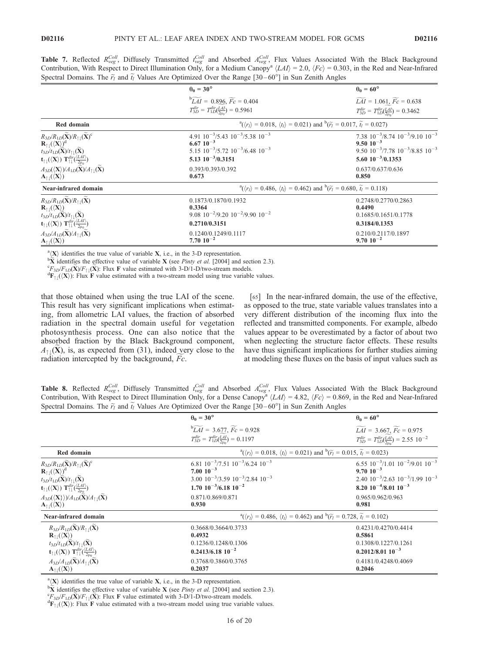**Table 7.** Reflected  $R_{veg}^{Coll}$ , Diffusely Transmitted  $t_{veg}^{Coll}$  and Absorbed  $A_{veg}^{Coll}$ , Flux Values Associated With the Black Background Contribution, With Respect to Direct Illumination Only, for a Medium Canopy<sup>a</sup>  $\langle LAI \rangle = 2.0$ ,  $\langle Fc \rangle = 0.303$ , in the Red and Near-Infrared Spectral Domains. The  $\tilde{r}_l$  and  $\tilde{t}_l$  Values Are Optimized Over the Range [30–60°] in Sun Zenith Angles

|                                                                                                                                                                                                                                                                                                                                                                                                  | $\theta_0 = 30^\circ$                                                                                                                          | $\theta_0 = 60^\circ$                                                                                                                        |  |
|--------------------------------------------------------------------------------------------------------------------------------------------------------------------------------------------------------------------------------------------------------------------------------------------------------------------------------------------------------------------------------------------------|------------------------------------------------------------------------------------------------------------------------------------------------|----------------------------------------------------------------------------------------------------------------------------------------------|--|
|                                                                                                                                                                                                                                                                                                                                                                                                  | ${}^{b}\widetilde{LAI} = 0.896, \widetilde{Fc} = 0.404$<br>$T_{3D}^{dir} = T_{1D}^{dir}(\frac{LAI}{2\mu_0}) = 0.5961$                          | $\widetilde{LAI} = 1.061, \widetilde{Fc} = 0.638$<br>$T_{3D}^{dir} = T_{1D}^{dir}(\frac{LAI}{2\mu_0}) = 0.3462$                              |  |
| Red domain                                                                                                                                                                                                                                                                                                                                                                                       | $^{a}(\langle r_1 \rangle = 0.018, \langle t_1 \rangle = 0.021)$ and $^{b}(\widetilde{r_1} = 0.017, \widetilde{t_1} = 0.027)$                  |                                                                                                                                              |  |
| $R_{3D}/R_{1D}(\widetilde{\mathbf{X}})/R_{\uparrow\downarrow}(\widetilde{\mathbf{X}})^c$<br>$\mathbf{R}_{\uparrow\downarrow}(\langle \mathbf{X} \rangle)^d$<br>$t_{3D}/t_{1D}(\widetilde{\mathbf{X}})/t_{\uparrow\downarrow}(\widetilde{\mathbf{X}})$<br>$\mathbf{t}_{\uparrow\downarrow}(\langle \mathbf{X} \rangle) \mathbf{T}_{\uparrow\downarrow}^{dir}(\frac{\langle LAI \rangle}{2\mu_0})$ | 4.91 $10^{-3}/5.43$ $10^{-3}/5.38$ $10^{-3}$<br>$6.6710^{-3}$<br>$5.15$ $10^{-3}/5.72$ $10^{-3}/6.48$ $10^{-3}$<br>$5.13 \cdot 10^{-3}/0.3151$ | 7.38 $10^{-3}/8.74$ $10^{-3}/9.10$ $10^{-3}$<br>$9.50 10^{-3}$<br>$9.50$ $10^{-3}/7.78$ $10^{-3}/8.85$ $10^{-3}$<br>$5.60 \; 10^{-3}/0.1353$ |  |
| $A_{3D}(\langle X\rangle)/A_{1D}(\widetilde{X})/A_{11}(\widetilde{X})$<br>$\mathbf{A}_{\uparrow\downarrow}(\langle \mathbf{X} \rangle)$                                                                                                                                                                                                                                                          | 0.393/0.393/0.392<br>0.673                                                                                                                     | 0.637/0.637/0.636<br>0.850                                                                                                                   |  |
| Near-infrared domain                                                                                                                                                                                                                                                                                                                                                                             | $^{a}(\langle r_1 \rangle = 0.486, \langle t_1 \rangle = 0.462)$ and $^{b}(\widetilde{r_1} = 0.680, \widetilde{t_1} = 0.118)$                  |                                                                                                                                              |  |
| $R_{3D}/R_{1D}(\mathbf{X})/R_{\uparrow\perp}(\mathbf{X})$<br>$\mathbf{R}_{\uparrow\downarrow}(\langle \mathbf{X} \rangle)$<br>$t_{3D}/t_{1D}(\mathbf{X})/t_{\uparrow\downarrow}(\mathbf{X})$<br>$\mathbf{t}_{\uparrow\downarrow}(\langle \mathbf{X} \rangle) \mathbf{T}_{\uparrow\downarrow}^{dir}(\frac{\langle LAI \rangle}{2\mu_0})$                                                          | 0.1873/0.1870/0.1932<br>0.3364<br>$9.08 \cdot 10^{-2} / 9.20 \cdot 10^{-2} / 9.90 \cdot 10^{-2}$<br>0.2710/0.3151                              | 0.2748/0.2770/0.2863<br>0.4490<br>0.1685/0.1651/0.1778<br>0.3184/0.1353                                                                      |  |
| $A_{3D}/A_{1D}(\mathbf{X})/A_{\uparrow\downarrow}(\mathbf{X})$<br>${\bf A}_{\uparrow\downarrow}(\langle {\bf X}\rangle)$                                                                                                                                                                                                                                                                         | 0.1240/0.1249/0.1117<br>$7.70 10^{-2}$                                                                                                         | 0.210/0.2117/0.1897<br>$9.70 10^{-2}$                                                                                                        |  |

<sup>a</sup>(**X**) identifies the true value of variable **X**, i.e., in the 3-D representation.

 ${}^{b}\tilde{\mathbf{X}}$  identifies the effective value of variable **X** (see *Pinty et al.* [2004] and section 2.3).

 ${}^cF_{3D}/F_{1D}(\mathbf{X})/F_{\uparrow\downarrow}(\mathbf{X})$ : Flux **F** value estimated with 3-D/1-D/two-stream models.

 ${}^d\mathbf{F}_{\uparrow\downarrow}(\langle \mathbf{X} \rangle)$ : Flux F value estimated with a two-stream model using true variable values.

that those obtained when using the true LAI of the scene. This result has very significant implications when estimating, from allometric LAI values, the fraction of absorbed radiation in the spectral domain useful for vegetation photosynthesis process. One can also notice that the absorbed fraction by the Black Background component,  $A_{\uparrow\downarrow}(X)$ , is, as expected from (31), indeed very close to the radiation intercepted by the background,  $Fc$ .

[65] In the near-infrared domain, the use of the effective, as opposed to the true, state variable values translates into a very different distribution of the incoming flux into the reflected and transmitted components. For example, albedo values appear to be overestimated by a factor of about two when neglecting the structure factor effects. These results have thus significant implications for further studies aiming at modeling these fluxes on the basis of input values such as

**Table 8.** Reflected  $R_{veg}^{Coll}$ , Diffusely Transmitted  $t_{veg}^{Coll}$  and Absorbed  $A_{veg}^{Coll}$ , Flux Values Associated With the Black Background Contribution, With Respect to Direct Illumination Only, for a Dense Canopy<sup>a</sup>  $\langle LAI \rangle = 4.82$ ,  $\langle Fc \rangle = 0.869$ , in the Red and Near-Infrared Spectral Domains. The  $\tilde{r}_l$  and  $\tilde{t}_l$  Values Are Optimized Over the Range [30–60°] in Sun Zenith Angles

|                                                                                                                                         | $\theta_0 = 30^\circ$                                                                                                         | $\theta_0 = 60^\circ$                                                                                                   |  |
|-----------------------------------------------------------------------------------------------------------------------------------------|-------------------------------------------------------------------------------------------------------------------------------|-------------------------------------------------------------------------------------------------------------------------|--|
|                                                                                                                                         | ${}^{b}\widetilde{LAI} = 3.677, \, \widetilde{Fc} = 0.928$<br>$T_{3D}^{dir} = T_{1D}^{dir}(\frac{LAI}{2m}) = 0.1197$          | $\widetilde{LAI} = 3.667, \widetilde{Fc} = 0.975$<br>$T_{3D}^{dir} = T_{1D}^{dir}(\frac{LAI}{2m}) = 2.55 \cdot 10^{-2}$ |  |
| Red domain                                                                                                                              | $^{a}(\langle r_1 \rangle = 0.018, \langle t_1 \rangle = 0.021)$ and $^{b}(\widetilde{r_1} = 0.015, \widetilde{t_1} = 0.023)$ |                                                                                                                         |  |
| $R_{3D}/R_{1D}(\widetilde{\mathbf{X}})/R_{\uparrow\downarrow}(\widetilde{\mathbf{X}})^c$                                                | 6.81 $10^{-3}/7.51$ $10^{-3}/6.24$ $10^{-3}$                                                                                  | $6.55\ 10^{-3}/1.01\ 10^{-2}/9.01\ 10^{-3}$                                                                             |  |
| $\mathbf{R}_{\uparrow\downarrow}(\langle \mathbf{X} \rangle)^{\mathrm{d}}$                                                              | $7.00 10^{-3}$                                                                                                                | $9.70 \cdot 10^{-3}$                                                                                                    |  |
| $t_{3D}/t_{1D}(\mathbf{X})/t_{\uparrow\downarrow}(\mathbf{X})$                                                                          | $3.00 \ 10^{-3}/3.59 \ 10^{-3}/2.84 \ 10^{-3}$                                                                                | $2.40 \cdot 10^{-3}/2.63 \cdot 10^{-3}/1.99 \cdot 10^{-3}$                                                              |  |
| $\mathbf{t}_{\uparrow\downarrow}(\langle \mathbf{X} \rangle) \mathbf{T}_{\uparrow\downarrow}^{dir}(\frac{\langle LAI \rangle}{2\mu_0})$ | $1.70 \; 10^{-3} / 6.18 \; 10^{-2}$                                                                                           | 8.20 $10^{-4}/8.01$ $10^{-3}$                                                                                           |  |
| $A_{3D}(\langle X\rangle)/A_{1D}(X)/A_{\uparrow\downarrow}(X)$                                                                          | 0.871/0.869/0.871                                                                                                             | 0.965/0.962/0.963                                                                                                       |  |
| $\mathbf{A}_{\uparrow\downarrow}(\langle \mathbf{X} \rangle)$                                                                           | 0.930                                                                                                                         | 0.981                                                                                                                   |  |
| Near-infrared domain                                                                                                                    | $^{a}(\langle r_1 \rangle = 0.486, \langle t_1 \rangle = 0.462)$ and $^{b}(\widetilde{r_1} = 0.728, \widetilde{t_1} = 0.102)$ |                                                                                                                         |  |
| $R_{3D}/R_{1D}(\widetilde{\mathbf{X}})/R_{\uparrow\downarrow}(\widetilde{\mathbf{X}})$                                                  | 0.3668/0.3664/0.3733                                                                                                          | 0.4231/0.4270/0.4414                                                                                                    |  |
| $\mathbf{R}_{\uparrow\downarrow}(\langle \mathbf{X} \rangle)$                                                                           | 0.4932                                                                                                                        | 0.5861                                                                                                                  |  |
| $t_{3D}/t_{1D}(\mathbf{X})/t_{\uparrow\downarrow}(\mathbf{X})$                                                                          | 0.1236/0.1248/0.1306                                                                                                          | 0.1308/0.1227/0.1261                                                                                                    |  |
| $\mathbf{t}_{\uparrow\downarrow}(\langle \mathbf{X} \rangle) \mathbf{T}_{\uparrow\downarrow}^{dir}(\frac{\langle LAI \rangle}{2\mu_0})$ | $0.2413/6.18110^{-2}$                                                                                                         | $0.2012/8.01110^{-3}$                                                                                                   |  |
| $A_{3D}/A_{1D}(\widetilde{\mathbf{X}})/A_{\uparrow\downarrow}(\widetilde{\mathbf{X}})$                                                  | 0.3768/0.3860/0.3765                                                                                                          | 0.4181/0.4248/0.4069                                                                                                    |  |
| $\mathbf{A}_{\uparrow\downarrow}(\langle \mathbf{X} \rangle)$                                                                           | 0.2037                                                                                                                        | 0.2046                                                                                                                  |  |

<sup>a</sup>(**X**) identifies the true value of variable **X**, i.e., in the 3-D representation.

 ${}^{b}\tilde{\mathbf{X}}$  identifies the effective value of variable **X** (see *Pinty et al.* [2004] and section 2.3).

 ${}^cF_{3D}/F_{1D}(\widetilde{X})/F_{11}(\widetilde{X})$ : Flux F value estimated with 3-D/1-D/two-stream models.

 ${}^d\mathbf{F}_{\uparrow\downarrow}(\langle \mathbf{X} \rangle)$ : Flux F value estimated with a two-stream model using true variable values.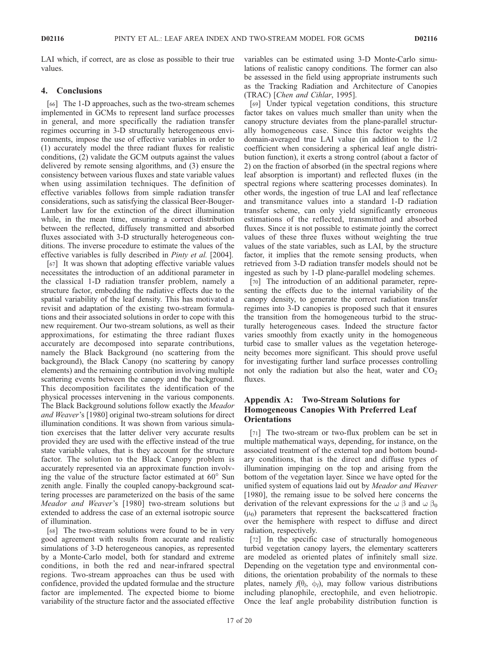LAI which, if correct, are as close as possible to their true values.

### 4. Conclusions

[66] The 1-D approaches, such as the two-stream schemes implemented in GCMs to represent land surface processes in general, and more specifically the radiation transfer regimes occurring in 3-D structurally heterogeneous environments, impose the use of effective variables in order to (1) accurately model the three radiant fluxes for realistic conditions, (2) validate the GCM outputs against the values delivered by remote sensing algorithms, and (3) ensure the consistency between various fluxes and state variable values when using assimilation techniques. The definition of effective variables follows from simple radiation transfer considerations, such as satisfying the classical Beer-Bouger-Lambert law for the extinction of the direct illumination while, in the mean time, ensuring a correct distribution between the reflected, diffusely transmitted and absorbed fluxes associated with 3-D structurally heterogeneous conditions. The inverse procedure to estimate the values of the effective variables is fully described in Pinty et al. [2004].

[67] It was shown that adopting effective variable values necessitates the introduction of an additional parameter in the classical 1-D radiation transfer problem, namely a structure factor, embedding the radiative effects due to the spatial variability of the leaf density. This has motivated a revisit and adaptation of the existing two-stream formulations and their associated solutions in order to cope with this new requirement. Our two-stream solutions, as well as their approximations, for estimating the three radiant fluxes accurately are decomposed into separate contributions, namely the Black Background (no scattering from the background), the Black Canopy (no scattering by canopy elements) and the remaining contribution involving multiple scattering events between the canopy and the background. This decomposition facilitates the identification of the physical processes intervening in the various components. The Black Background solutions follow exactly the Meador and Weaver's [1980] original two-stream solutions for direct illumination conditions. It was shown from various simulation exercises that the latter deliver very accurate results provided they are used with the effective instead of the true state variable values, that is they account for the structure factor. The solution to the Black Canopy problem is accurately represented via an approximate function involving the value of the structure factor estimated at  $60^{\circ}$  Sun zenith angle. Finally the coupled canopy-background scattering processes are parameterized on the basis of the same Meador and Weaver's [1980] two-stream solutions but extended to address the case of an external isotropic source of illumination.

[68] The two-stream solutions were found to be in very good agreement with results from accurate and realistic simulations of 3-D heterogeneous canopies, as represented by a Monte-Carlo model, both for standard and extreme conditions, in both the red and near-infrared spectral regions. Two-stream approaches can thus be used with confidence, provided the updated formulae and the structure factor are implemented. The expected biome to biome variability of the structure factor and the associated effective variables can be estimated using 3-D Monte-Carlo simulations of realistic canopy conditions. The former can also be assessed in the field using appropriate instruments such as the Tracking Radiation and Architecture of Canopies (TRAC) [Chen and Cihlar, 1995].

[69] Under typical vegetation conditions, this structure factor takes on values much smaller than unity when the canopy structure deviates from the plane-parallel structurally homogeneous case. Since this factor weights the domain-averaged true LAI value (in addition to the 1/2 coefficient when considering a spherical leaf angle distribution function), it exerts a strong control (about a factor of 2) on the fraction of absorbed (in the spectral regions where leaf absorption is important) and reflected fluxes (in the spectral regions where scattering processes dominates). In other words, the ingestion of true LAI and leaf reflectance and transmitance values into a standard 1-D radiation transfer scheme, can only yield significantly erroneous estimations of the reflected, transmitted and absorbed fluxes. Since it is not possible to estimate jointly the correct values of these three fluxes without weighting the true values of the state variables, such as LAI, by the structure factor, it implies that the remote sensing products, when retrieved from 3-D radiation transfer models should not be ingested as such by 1-D plane-parallel modeling schemes.

[70] The introduction of an additional parameter, representing the effects due to the internal variability of the canopy density, to generate the correct radiation transfer regimes into 3-D canopies is proposed such that it ensures the transition from the homogeneous turbid to the structurally heterogeneous cases. Indeed the structure factor varies smoothly from exactly unity in the homogeneous turbid case to smaller values as the vegetation heterogeneity becomes more significant. This should prove useful for investigating further land surface processes controlling not only the radiation but also the heat, water and  $CO<sub>2</sub>$ fluxes.

# Appendix A: Two-Stream Solutions for Homogeneous Canopies With Preferred Leaf **Orientations**

[71] The two-stream or two-flux problem can be set in multiple mathematical ways, depending, for instance, on the associated treatment of the external top and bottom boundary conditions, that is the direct and diffuse types of illumination impinging on the top and arising from the bottom of the vegetation layer. Since we have opted for the unified system of equations laid out by *Meador and Weaver* [1980], the remaing issue to be solved here concerns the derivation of the relevant expressions for the  $\omega \beta$  and  $\omega \beta_0$  $(\mu_0)$  parameters that represent the backscattered fraction over the hemisphere with respect to diffuse and direct radiation, respectively.

[72] In the specific case of structurally homogeneous turbid vegetation canopy layers, the elementary scatterers are modeled as oriented plates of infinitely small size. Depending on the vegetation type and environmental conditions, the orientation probability of the normals to these plates, namely  $f(\theta_l, \phi_l)$ , may follow various distributions including planophile, erectophile, and even heliotropic. Once the leaf angle probability distribution function is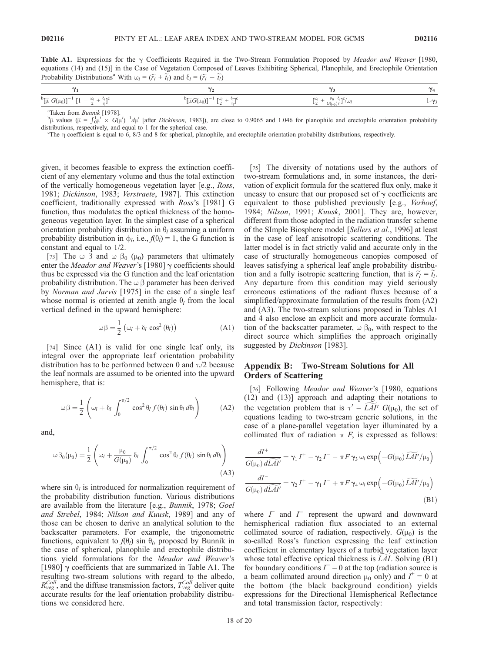Table A1. Expressions for the  $\gamma$  Coefficients Required in the Two-Stream Formulation Proposed by *Meador and Weaver* [1980, equations (14) and (15)] in the Case of Vegetation Composed of Leaves Exhibiting Spherical, Planophile, and Erectophile Orientation Probability Distributions<sup>a</sup> With  $\omega_l = (\tilde{r}_l + \tilde{t}_l)$  and  $\delta_l = (\tilde{r}_l - \tilde{t}_l)$ 

| $\mathbf{v}$                                                                                              | ~,                                                                             | $\sim$                          | $\ddot{\phantom{1}}$ |
|-----------------------------------------------------------------------------------------------------------|--------------------------------------------------------------------------------|---------------------------------|----------------------|
| $\mathfrak{b}[\overline{\mu} G(\mu_0)]$<br>$\sim$ $-$<br>$-\frac{\omega_l}{l}+\frac{\omega_l}{l}$<br>0/79 | <b>r</b> W<br>$D_{\Gamma} - \sigma$<br>--<br>0/7C<br>$\mu G(\mu_0)$<br>$- + -$ | <u>wi</u><br>(سا/<br>$G(\mu_0)$ | $\sim -\sqrt{2}$     |
|                                                                                                           |                                                                                |                                 |                      |

<sup>a</sup>Taken from *Bunnik* [1978].

<sup>a</sup>Taken from *Bunnik* [1978].<br><sup>b</sup>µ values (µ =  $\int_{0}^{1}$ u' × G(µ')<sup>-1</sup>dµ' [after *Dickinson*, 1983]), are close to 0.9065 and 1.046 for planophile and erectophile orientation probability distributions, respectively, and equal to 1 for the spherical case.

The  $\eta$  coefficient is equal to 6, 8/3 and 8 for spherical, planophile, and erectophile orientation probability distributions, respectively.

given, it becomes feasible to express the extinction coefficient of any elementary volume and thus the total extinction of the vertically homogeneous vegetation layer [e.g., Ross, 1981; Dickinson, 1983; Verstraete, 1987]. This extinction coefficient, traditionally expressed with Ross's [1981] G function, thus modulates the optical thickness of the homogeneous vegetation layer. In the simplest case of a spherical orientation probability distribution in  $\theta_l$  assuming a uniform probability distribution in  $\phi_l$ , i.e.,  $f(\theta_l) = 1$ , the G function is constant and equal to 1/2.

[73] The  $\omega \beta$  and  $\omega \beta_0$  ( $\mu_0$ ) parameters that ultimately enter the Meador and Weaver's [1980]  $\gamma$  coefficients should thus be expressed via the G function and the leaf orientation probability distribution. The  $\omega \beta$  parameter has been derived by Norman and Jarvis [1975] in the case of a single leaf whose normal is oriented at zenith angle  $\theta_l$  from the local vertical defined in the upward hemisphere:

$$
\omega \beta = \frac{1}{2} \left( \omega_l + \delta_l \cos^2 \left( \theta_l \right) \right) \tag{A1}
$$

[74] Since (A1) is valid for one single leaf only, its integral over the appropriate leaf orientation probability distribution has to be performed between 0 and  $\pi/2$  because the leaf normals are assumed to be oriented into the upward hemisphere, that is:

$$
\omega \beta = \frac{1}{2} \left( \omega_l + \delta_l \int_0^{\pi/2} \cos^2 \theta_l f(\theta_l) \sin \theta_l d\theta_l \right) \tag{A2}
$$

and,

$$
\omega \beta_0(\mu_0) = \frac{1}{2} \left( \omega_l + \frac{\mu_0}{G(\mu_0)} \delta_l \int_0^{\pi/2} \cos^2 \theta_l f(\theta_l) \sin \theta_l d\theta_l \right)
$$
\n(A3)

where sin  $\theta_l$  is introduced for normalization requirement of the probability distribution function. Various distributions are available from the literature [e.g., Bunnik, 1978; Goel and Strebel, 1984; Nilson and Kuusk, 1989] and any of those can be chosen to derive an analytical solution to the backscatter parameters. For example, the trigonometric functions, equivalent to  $f(\theta_l)$  sin  $\theta_l$ , proposed by Bunnik in the case of spherical, planophile and erectophile distributions yield formulations for the Meador and Weaver's [1980]  $\gamma$  coefficients that are summarized in Table A1. The resulting two-stream solutions with regard to the albedo,  $R_{veg}^{Coll}$ , and the diffuse transmission factors,  $T_{veg}^{Coll}$  deliver quite accurate results for the leaf orientation probability distributions we considered here.

[75] The diversity of notations used by the authors of two-stream formulations and, in some instances, the derivation of explicit formula for the scattered flux only, make it uneasy to ensure that our proposed set of  $\gamma$  coefficients are equivalent to those published previously [e.g., Verhoef, 1984; Nilson, 1991; Kuusk, 2001]. They are, however, different from those adopted in the radiation transfer scheme of the SImple Biosphere model [Sellers et al., 1996] at least in the case of leaf anisotropic scattering conditions. The latter model is in fact strictly valid and accurate only in the case of structurally homogeneous canopies composed of leaves satisfying a spherical leaf angle probability distribution and a fully isotropic scattering function, that is  $\widetilde{r}_l = \widetilde{t}_l$ . Any departure from this condition may yield seriously erroneous estimations of the radiant fluxes because of a simplified/approximate formulation of the results from (A2) and (A3). The two-stream solutions proposed in Tables A1 and 4 also enclose an explicit and more accurate formulation of the backscatter parameter,  $\omega \beta_0$ , with respect to the direct source which simplifies the approach originally suggested by Dickinson [1983].

# Appendix B: Two-Stream Solutions for All Orders of Scattering

[76] Following Meador and Weaver's [1980, equations (12) and (13)] approach and adapting their notations to the vegetation problem that is  $\tau' = L\overline{A}I'$   $G(\mu_0)$ , the set of equations leading to two-stream generic solutions, in the case of a plane-parallel vegetation layer illuminated by a collimated flux of radiation  $\pi$  F, is expressed as follows:

$$
\frac{dI^+}{G(\mu_0) d\widetilde{L}\widetilde{AI'}} = \gamma_1 I^+ - \gamma_2 I^- - \pi F \gamma_3 \omega_l \exp\left(-G(\mu_0) \widetilde{L}\widetilde{AI'}/\mu_0\right)
$$

$$
\frac{dI^-}{G(\mu_0) d\widetilde{L}\widetilde{AI'}} = \gamma_2 I^+ - \gamma_1 I^- + \pi F \gamma_4 \omega_l \exp\left(-G(\mu_0) \widetilde{L}\widetilde{AI'}/\mu_0\right)
$$
(B1)

where  $I^+$  and  $I^-$  represent the upward and downward hemispherical radiation flux associated to an external collimated source of radiation, respectively.  $G(\mu_0)$  is the so-called Ross's function expressing the leaf extinction coefficient in elementary layers of a turbid vegetation layer whose total effective optical thickness is  $LAI$ . Solving (B1) for boundary conditions  $\overline{I} = 0$  at the top (radiation source is a beam collimated around direction  $\mu_0$  only) and  $I^+ = 0$  at the bottom (the black background condition) yields expressions for the Directional Hemispherical Reflectance and total transmission factor, respectively: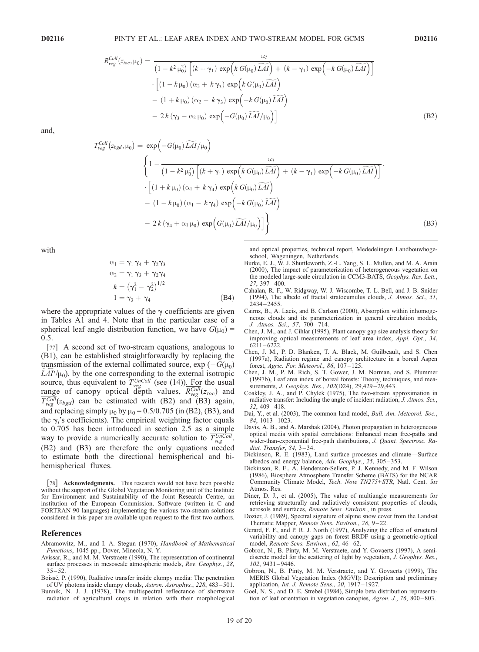$$
R_{\text{veg}}^{\text{Coll}}(z_{\text{loc}}, \mu_0) = \frac{\omega_l}{\left(1 - k^2 \mu_0^2\right) \left[ (k + \gamma_1) \exp\left(k G(\mu_0) \widetilde{LAI}\right) + (k - \gamma_1) \exp\left(-k G(\mu_0) \widetilde{LAI}\right) \right]} \cdot \left[ (1 - k \mu_0) \left(\alpha_2 + k \gamma_3\right) \exp\left(k G(\mu_0) \widetilde{LAI}\right) - (1 + k \mu_0) \left(\alpha_2 - k \gamma_3\right) \exp\left(-k G(\mu_0) \widetilde{LAI}\right) - 2 k \left(\gamma_3 - \alpha_2 \mu_0\right) \exp\left(-G(\mu_0) \widetilde{LAI}/\mu_0\right) \right] \tag{B2}
$$

and,

 $\tau$ 

$$
\begin{split}\n\text{Coll} \left( z_{bgd}, \mu_0 \right) &= \exp \left( -G(\mu_0) \widetilde{LAI}/\mu_0 \right) \\
&\quad \left\{ 1 - \frac{\omega_l}{\left( 1 - k^2 \mu_0^2 \right) \left[ (k + \gamma_1) \exp \left( k \, G(\mu_0) \widetilde{LAI} \right) + (k - \gamma_1) \exp \left( -k \, G(\mu_0) \widetilde{LAI} \right) \right]} \cdot \left[ (1 + k \mu_0) \left( \alpha_1 + k \, \gamma_4 \right) \exp \left( k \, G(\mu_0) \widetilde{LAI} \right) \right] \\
&- \left( 1 - k \mu_0 \right) \left( \alpha_1 - k \, \gamma_4 \right) \exp \left( -k \, G(\mu_0) \widetilde{LAI} \right) \\
&- 2 \, k \left( \gamma_4 + \alpha_1 \, \mu_0 \right) \exp \left( G(\mu_0) \widetilde{LAI}/\mu_0 \right) \right] \right\}\n\end{split} \tag{B3}
$$

with

$$
\alpha_1 = \gamma_1 \gamma_4 + \gamma_2 \gamma_3
$$
  
\n
$$
\alpha_2 = \gamma_1 \gamma_3 + \gamma_2 \gamma_4
$$
  
\n
$$
k = (\gamma_1^2 - \gamma_2^2)^{1/2}
$$
  
\n
$$
1 = \gamma_3 + \gamma_4
$$
 (B4)

where the appropriate values of the  $\gamma$  coefficients are given in Tables A1 and 4. Note that in the particular case of a spherical leaf angle distribution function, we have  $G(\mu_0)$  = 0.5.

[77] A second set of two-stream equations, analogous to (B1), can be established straightforwardly by replacing the transmission of the external collimated source,  $\exp(-G(\mu_0))$  $LAI'/\mu_0$ , by the one corresponding to the external isotropic source, thus equivalent to  $T_{\text{veg}}^{UnColl}$  (see (14)). For the usual range of canopy optical depth values,  $R_{veg}^{Coll}(z_{toc})$  and  $T_{\text{veg}}^{\text{Coll}}(z_{\text{bgd}})$  can be estimated with (B2) and (B3) again, and replacing simply  $\mu_0$  by  $\mu_0 = 0.5/0.705$  (in (B2), (B3), and the  $\gamma_i$ 's coefficients). The empirical weighting factor equals to 0.705 has been introduced in section 2.5 as a simple way to provide a numerically accurate solution to  $T_{\text{veg}}^{\text{UnColl}}$ . (B2) and (B3) are therefore the only equations needed to estimate both the directional hemispherical and bihemispherical fluxes.

[78] Acknowledgments. This research would not have been possible without the support of the Global Vegetation Monitoring unit of the Institute for Environment and Sustainability of the Joint Research Centre, an institution of the European Commission. Software (written in C and FORTRAN 90 languages) implementing the various two-stream solutions considered in this paper are available upon request to the first two authors.

#### References

Abramowitz, M., and I. A. Stegun (1970), Handbook of Mathematical Functions, 1045 pp., Dover, Mineola, N. Y.

- Avissar, R., and M. M. Verstraete (1990), The representation of continental surface processes in mesoscale atmospheric models, Rev. Geophys., 28,  $35 - 52$
- Boissé, P. (1990), Radiative transfer inside clumpy media: The penetration of UV photons inside clumpy clouds, Astron. Astrophys., 228, 483 – 501.
- Bunnik, N. J. J. (1978), The multispectral reflectance of shortwave radiation of agricultural crops in relation with their morphological
- and optical properties, technical report, Mededelingen Landbouwhogeschool, Wageningen, Netherlands.
- Burke, E. J., W. J. Shuttleworth, Z.-L. Yang, S. L. Mullen, and M. A. Arain (2000), The impact of parameterization of heterogeneous vegetation on the modeled large-scale circulation in CCM3-BATS, Geophys. Res. Lett., 27, 397 – 400.
- Cahalan, R. F., W. Ridgway, W. J. Wiscombe, T. L. Bell, and J. B. Snider (1994), The albedo of fractal stratocumulus clouds, J. Atmos. Sci., 51, 2434 – 2455.
- Cairns, B., A. Lacis, and B. Carlson (2000), Absorption within inhomogeneous clouds and its parameterization in general circulation models, J. Atmos. Sci., 57, 700 – 714.
- Chen, J. M., and J. Cihlar (1995), Plant canopy gap size analysis theory for improving optical measurements of leaf area index, Appl. Opt., 34,  $6211 - 6222$
- Chen, J. M., P. D. Blanken, T. A. Black, M. Guilbeault, and S. Chen (1997a), Radiation regime and canopy architecture in a boreal Aspen forest, Agric. For. Meteorol., 86, 107 – 125.
- Chen, J. M., P. M. Rich, S. T. Gower, J. M. Norman, and S. Plummer (1997b), Leaf area index of boreal forests: Theory, techniques, and measurements, *J. Geophys. Res.*, 102(D24), 29,429-29,443.
- Coakley, J. A., and P. Chylek (1975), The two-stream approximation in radiative transfer: Including the angle of incident radiation, J. Atmos. Sci., 32, 409 – 418.
- Dai, Y., et al. (2003), The common land model, Bull. Am. Meteorol. Soc., 84, 1013 – 1023.
- Davis, A. B., and A. Marshak (2004), Photon propagation in heterogeneous optical media with spatial correlations: Enhanced mean free-paths and wider-than-exponential free-path distributions, J. Quant. Spectrosc. Radiat. Transfer,  $84, 3-34$ .
- Dickinson, R. E. (1983), Land surface processes and climate—Surface albedos and energy balance, Adv. Geophys., 25, 305-353.
- Dickinson, R. E., A. Henderson-Sellers, P. J. Kennedy, and M. F. Wilson (1986), Biosphere Atmosphere Transfer Scheme (BATS) for the NCAR Community Climate Model, Tech. Note TN275+STR, Natl. Cent. for Atmos. Res.
- Diner, D. J., et al. (2005), The value of multiangle measurements for retrieving structurally and radiatively consistent properties of clouds, aerosols and surfaces, Remote Sens. Environ., in press.
- Dozier, J. (1989), Spectral signature of alpine snow cover from the Landsat Thematic Mapper, Remote Sens. Environ., 28, 9-22.
- Gerard, F. F., and P. R. J. North (1997), Analyzing the effect of structural variability and canopy gaps on forest BRDF using a geometric-optical model, Remote Sens. Environ., 62, 46-62.
- Gobron, N., B. Pinty, M. M. Verstraete, and Y. Govaerts (1997), A semidiscrete model for the scattering of light by vegetation, J. Geophys. Res., 102, 9431 – 9446.
- Gobron, N., B. Pinty, M. M. Verstraete, and Y. Govaerts (1999), The MERIS Global Vegetation Index (MGVI): Description and preliminary application, Int. J. Remote Sens.,  $20$ ,  $1917 - 1927$ .
- Goel, N. S., and D. E. Strebel (1984), Simple beta distribution representation of leaf orientation in vegetation canopies, Agron. J., 76, 800–803.